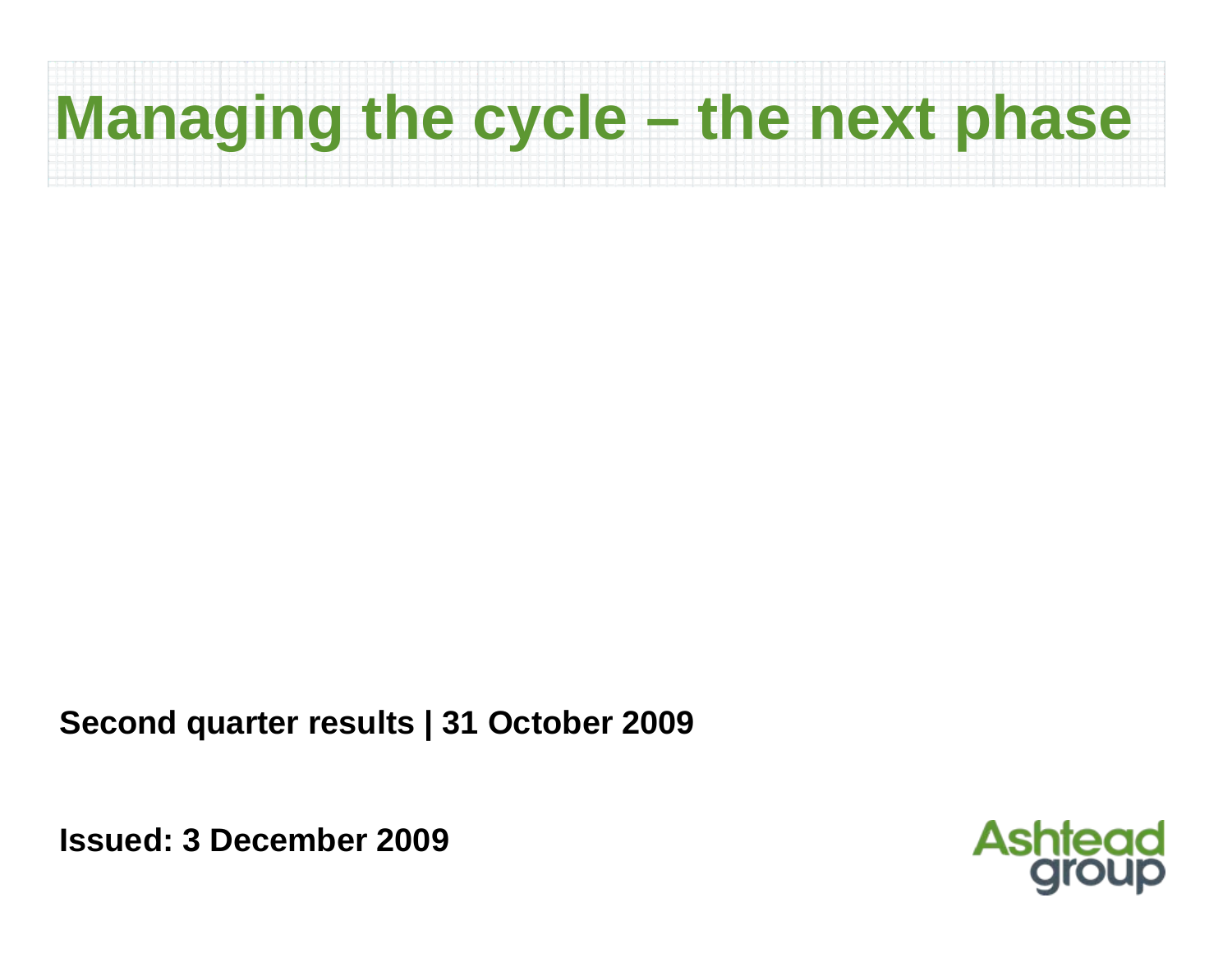## **Managing the cycle – the next phase**

**Second quarter results | 31 October 2009**

**Issued: 3 December 2009**

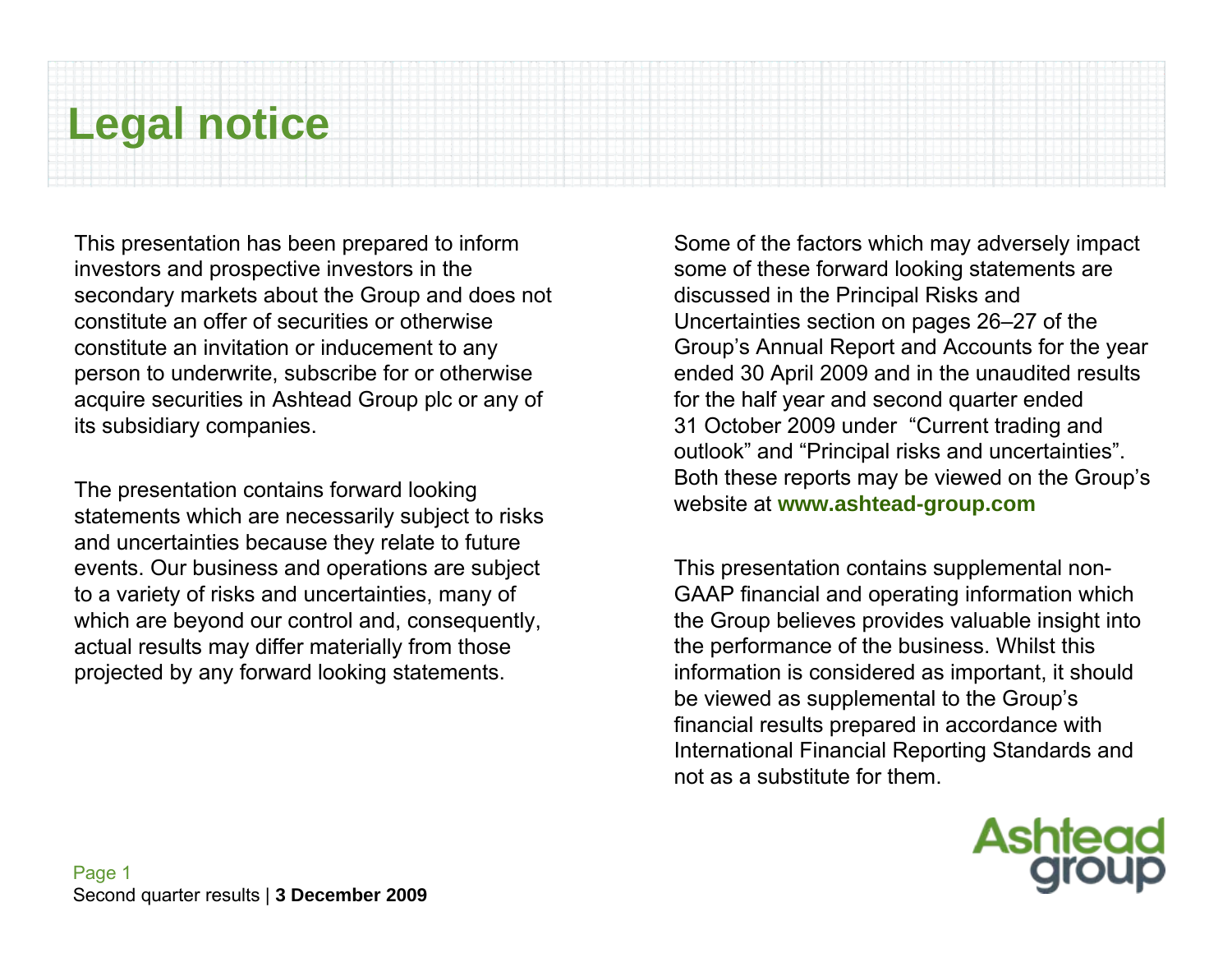## **Legal notice**

This presentation has been prepared to inform investors and prospective investors in the secondary markets about the Group and does not constitute an offer of securities or otherwise constitute an invitation or inducement to any person to underwrite, subscribe for or otherwise acquire securities in Ashtead Group plc or any of its subsidiary companies.

The presentation contains forward looking statements which are necessarily subject to risks and uncertainties because they relate to future events. Our business and operations are subject to a variety of risks and uncertainties, many of which are beyond our control and, consequently, actual results may differ materially from those projected by any forward looking statements.

Some of the factors which may adversely impact some of these forward looking statements are discussed in the Principal Risks and Uncertainties section on pages 26–27 of the Group's Annual Report and Accounts for the year ended 30 April 2009 and in the unaudited results for the half year and second quarter ended 31 October 2009 under "Current trading and outlook" and "Principal risks and uncertainties". Both these reports may be viewed on the Group's website at **www.ashtead-group.com**

This presentation contains supplemental non-GAAP financial and operating information which the Group believes provides valuable insight into the performance of the business. Whilst this information is considered as important, it should be viewed as supplemental to the Group's financial results prepared in accordance with International Financial Reporting Standards and not as a substitute for them.

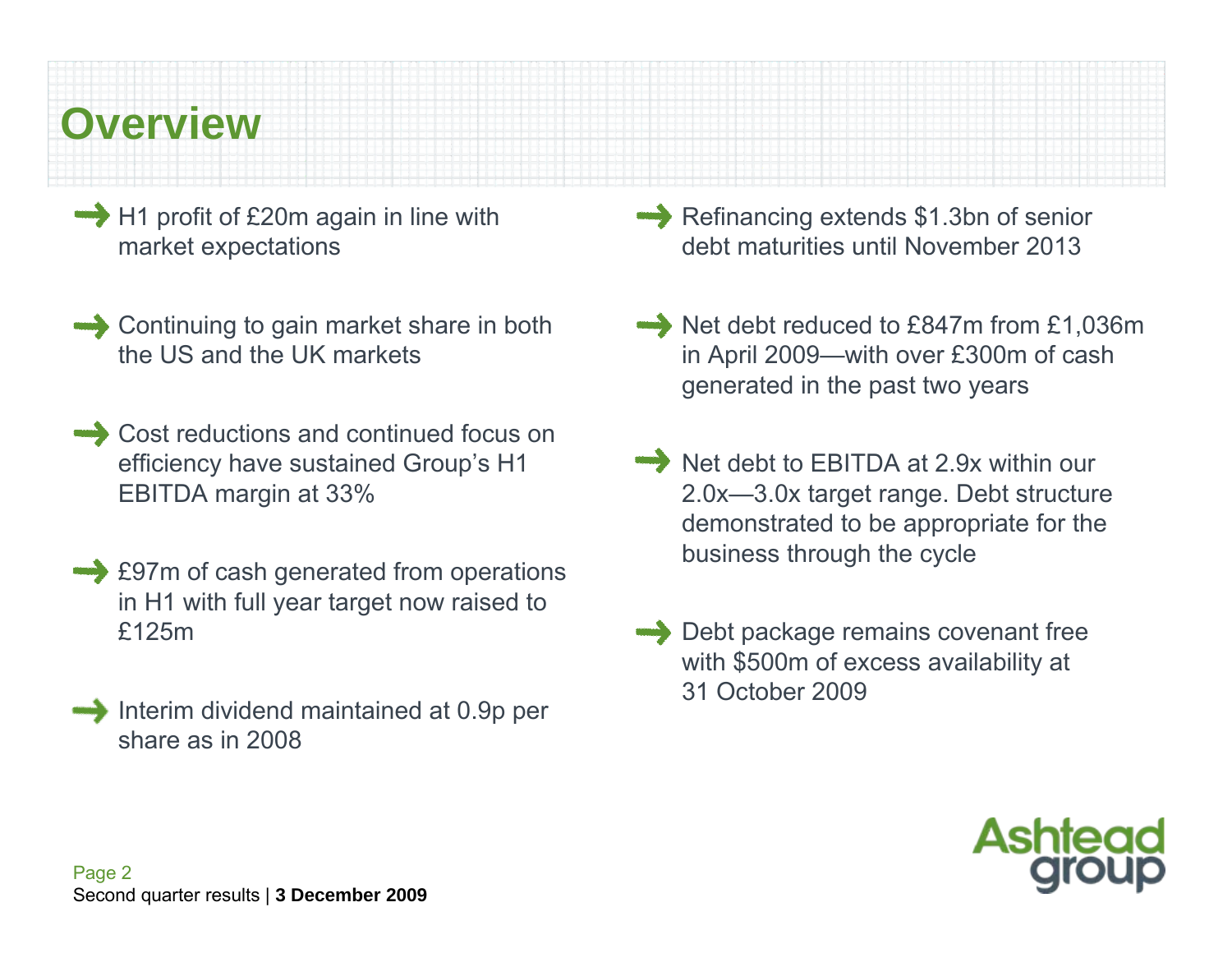## **Overview**

- H1 profit of £20m again in line with market expectations
- Continuing to gain market share in both the US and the UK markets
- Cost reductions and continued focus on efficiency have sustained Group's H1 EBITDA margin at 33%
- $\rightarrow$  **£97m of cash generated from operations** in H1 with full year target now raised to £125m
- Interim dividend maintained at 0.9p per share as in 2008
- Refinancing extends \$1.3bn of senior debt maturities until November 2013
- Net debt reduced to £847m from £1,036m in April 2009—with over £300m of cash generated in the past two years
- Net debt to EBITDA at 2.9x within our 2.0x—3.0x target range. Debt structure demonstrated to be appropriate for the business through the cycle
- Debt package remains covenant free with \$500m of excess availability at 31 October 2009

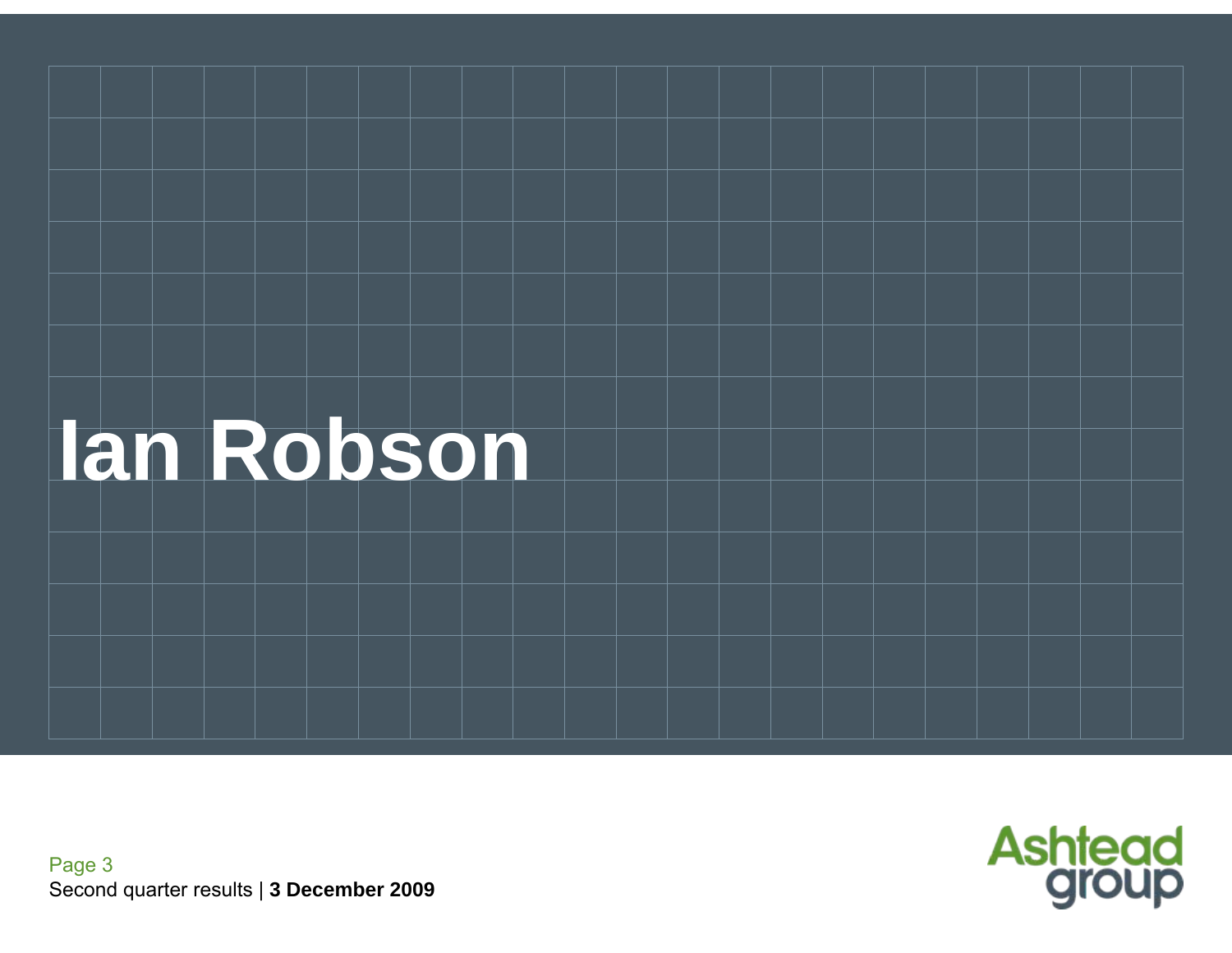

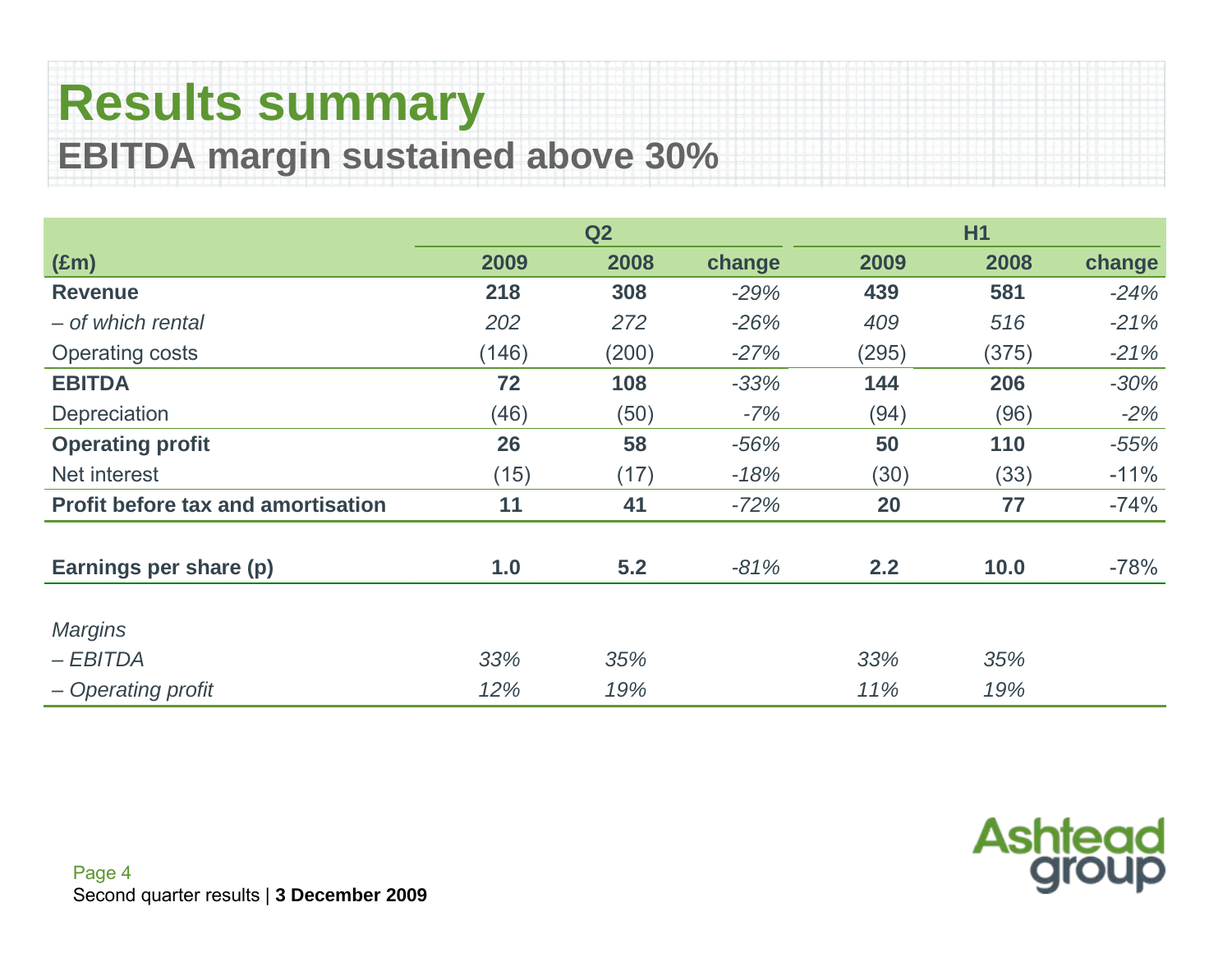## **Results summary EBITDA margin sustained above 30%**

|                                           | <b>H1</b><br>Q2 |       |        |       |       |        |
|-------------------------------------------|-----------------|-------|--------|-------|-------|--------|
| $(\text{Em})$                             | 2009            | 2008  | change | 2009  | 2008  | change |
| <b>Revenue</b>                            | 218             | 308   | $-29%$ | 439   | 581   | $-24%$ |
| - of which rental                         | 202             | 272   | $-26%$ | 409   | 516   | $-21%$ |
| <b>Operating costs</b>                    | (146)           | (200) | $-27%$ | (295) | (375) | $-21%$ |
| <b>EBITDA</b>                             | 72              | 108   | $-33%$ | 144   | 206   | $-30%$ |
| Depreciation                              | (46)            | (50)  | $-7%$  | (94)  | (96)  | $-2%$  |
| <b>Operating profit</b>                   | 26              | 58    | $-56%$ | 50    | 110   | $-55%$ |
| Net interest                              | (15)            | (17)  | $-18%$ | (30)  | (33)  | $-11%$ |
| <b>Profit before tax and amortisation</b> | 11              | 41    | $-72%$ | 20    | 77    | $-74%$ |
| Earnings per share (p)                    | 1.0             | 5.2   | $-81%$ | 2.2   | 10.0  | $-78%$ |
| <b>Margins</b>                            |                 |       |        |       |       |        |
| $-EBITDA$                                 | 33%             | 35%   |        | 33%   | 35%   |        |
| - Operating profit                        | 12%             | 19%   |        | 11%   | 19%   |        |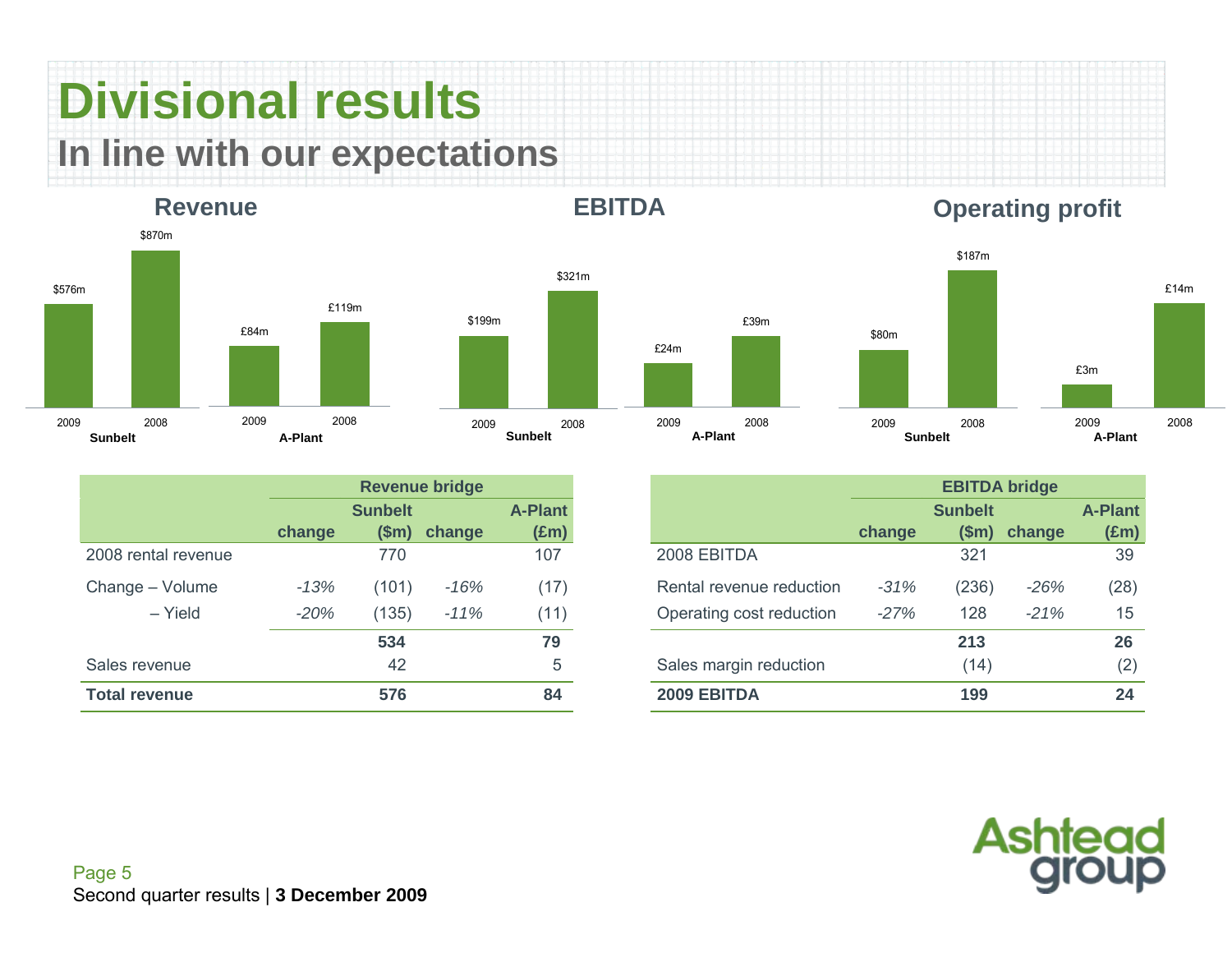## **Divisional results In line with our expectations**

#### **Revenue**



| A-Plant |                |        | <b>Sunbelt</b>        |
|---------|----------------|--------|-----------------------|
|         |                |        |                       |
|         | <b>Sunbelt</b> |        | <b>A-Plant</b>        |
| change  | \$m\$          | change | $(\text{Em})$         |
|         | 770            |        | 107                   |
| $-13%$  | (101)          | -16%   | (17)                  |
| $-20%$  | (135)          | $-11%$ | (11)                  |
|         |                |        | <b>Revenue bridge</b> |

**EBITDA**

\$321m



|                      |        |                        | <b>Revenue bridge</b> |                                 |                          |        | <b>EBITDA bridge</b>    |        |  |
|----------------------|--------|------------------------|-----------------------|---------------------------------|--------------------------|--------|-------------------------|--------|--|
|                      | change | <b>Sunbelt</b><br>(Sm) | change                | <b>A-Plant</b><br>$(\text{Em})$ |                          | change | <b>Sunbelt</b><br>\$m\$ | change |  |
| 2008 rental revenue  |        | 770                    |                       | 107                             | 2008 EBITDA              |        | 321                     |        |  |
| Change - Volume      | $-13%$ | (101)                  | $-16%$                | (17)                            | Rental revenue reduction | $-31%$ | (236)                   | $-26%$ |  |
| $-$ Yield            | $-20%$ | (135)                  | $-11%$                | (11)                            | Operating cost reduction | $-27%$ | 128                     | $-21%$ |  |
|                      |        | 534                    |                       | 79                              |                          |        | 213                     |        |  |
| Sales revenue        |        | 42                     |                       | 5                               | Sales margin reduction   |        | (14)                    |        |  |
| <b>Total revenue</b> |        | 576                    |                       | 84                              | 2009 EBITDA              |        | 199                     |        |  |



**Operating profit**

£14m

2008

\$187m



Page 5 Second quarter results | **3 December 2009**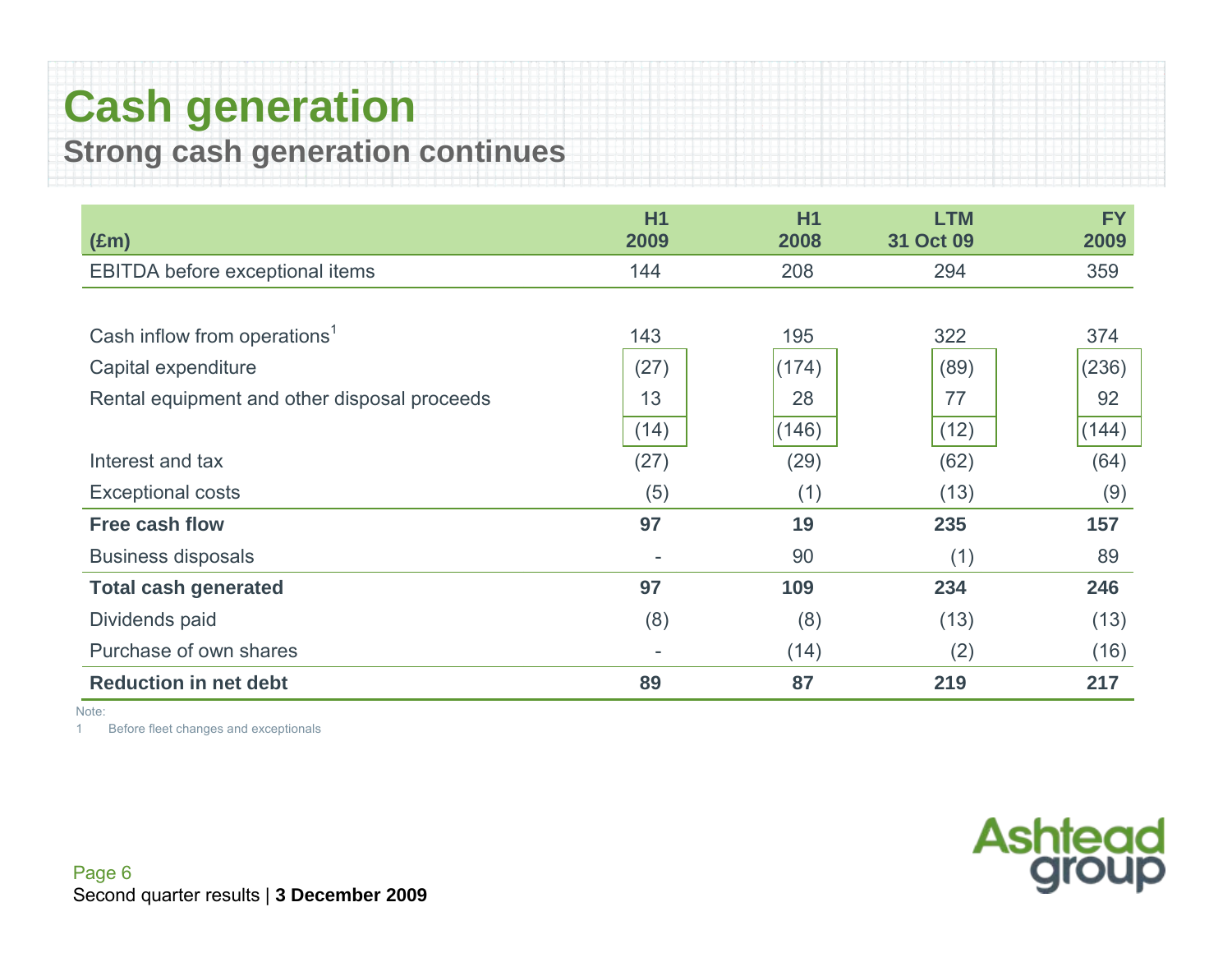### **Cash generation Strong cash generation continues**

**(£m) H12009H12008LTM 31 Oct 092009**EBITDA before exceptional items 144 208 294 359 Cash inflow from operations<sup>1</sup>  $143$  195  $322$  374 Capital expenditure  $(27)$   $(174)$   $(89)$   $(89)$   $(236)$ Rental equipment and other disposal proceeds 13 28 28 77 92  $(14)$   $(146)$   $(12)$   $(144)$ Interest and tax (27) (29) (62) (62) (64) Exceptional costs  $(5)$   $(1)$   $(13)$   $(9)$ **Free cash flow 97 19 235 157** Business disposals 60 and 10 and 20 and 20 and 20 and 20 and 20 and 20 and 20 and 20 and 20 and 20 and 20 and 20 and 20 and 20 and 20 and 20 and 20 and 20 and 20 and 20 and 20 and 20 and 20 and 20 and 20 and 20 and 20 and **Total cash generated 97 109 234 246**  Dividends paid (8) (8) (8) (13) (13) Purchase of own shares (16)  $(16)$ **Reduction in net debt** 89 87 219 217

Note:

1Before fleet changes and exceptionals



**FY**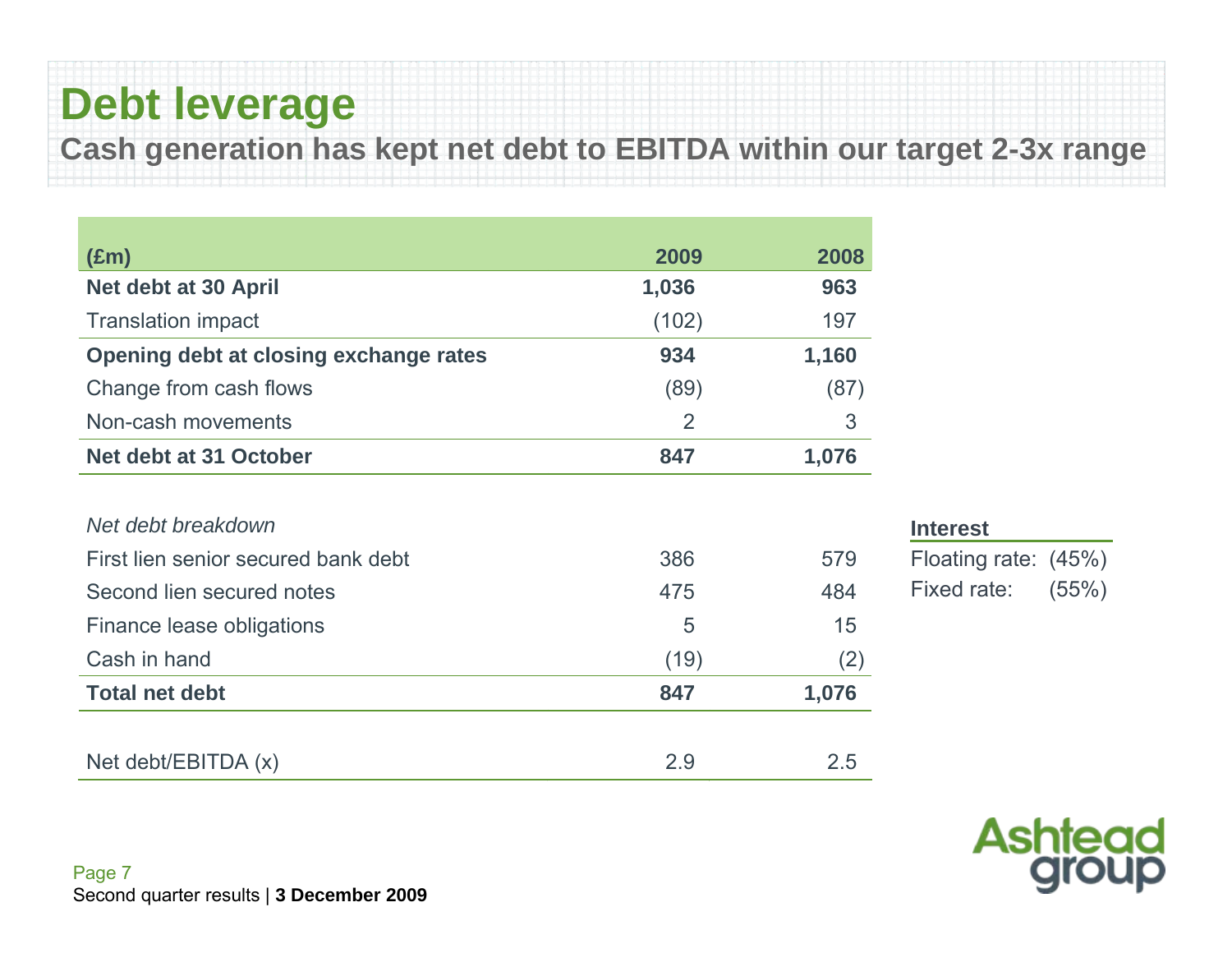## **Debt leverage**

**Cash generation has kept net debt to EBITDA within our target 2-3x range**

| $(\text{Em})$                          | 2009           | 2008  |
|----------------------------------------|----------------|-------|
| Net debt at 30 April                   | 1,036          | 963   |
| <b>Translation impact</b>              | (102)          | 197   |
| Opening debt at closing exchange rates | 934            | 1,160 |
| Change from cash flows                 | (89)           | (87)  |
| Non-cash movements                     | $\overline{2}$ | 3     |
| Net debt at 31 October                 | 847            | 1,076 |
|                                        |                |       |
| Net debt breakdown                     |                |       |
| First lien senior secured bank debt    | 386            | 579   |
| Second lien secured notes              | 475            | 484   |
| Finance lease obligations              | 5              | 15    |
| Cash in hand                           | (19)           | (2)   |
| <b>Total net debt</b>                  | 847            | 1,076 |
|                                        |                |       |
| Net debt/EBITDA (x)                    | 2.9            | 2.5   |

| Floating rate: (45%) |
|----------------------|
| (55%)                |
|                      |

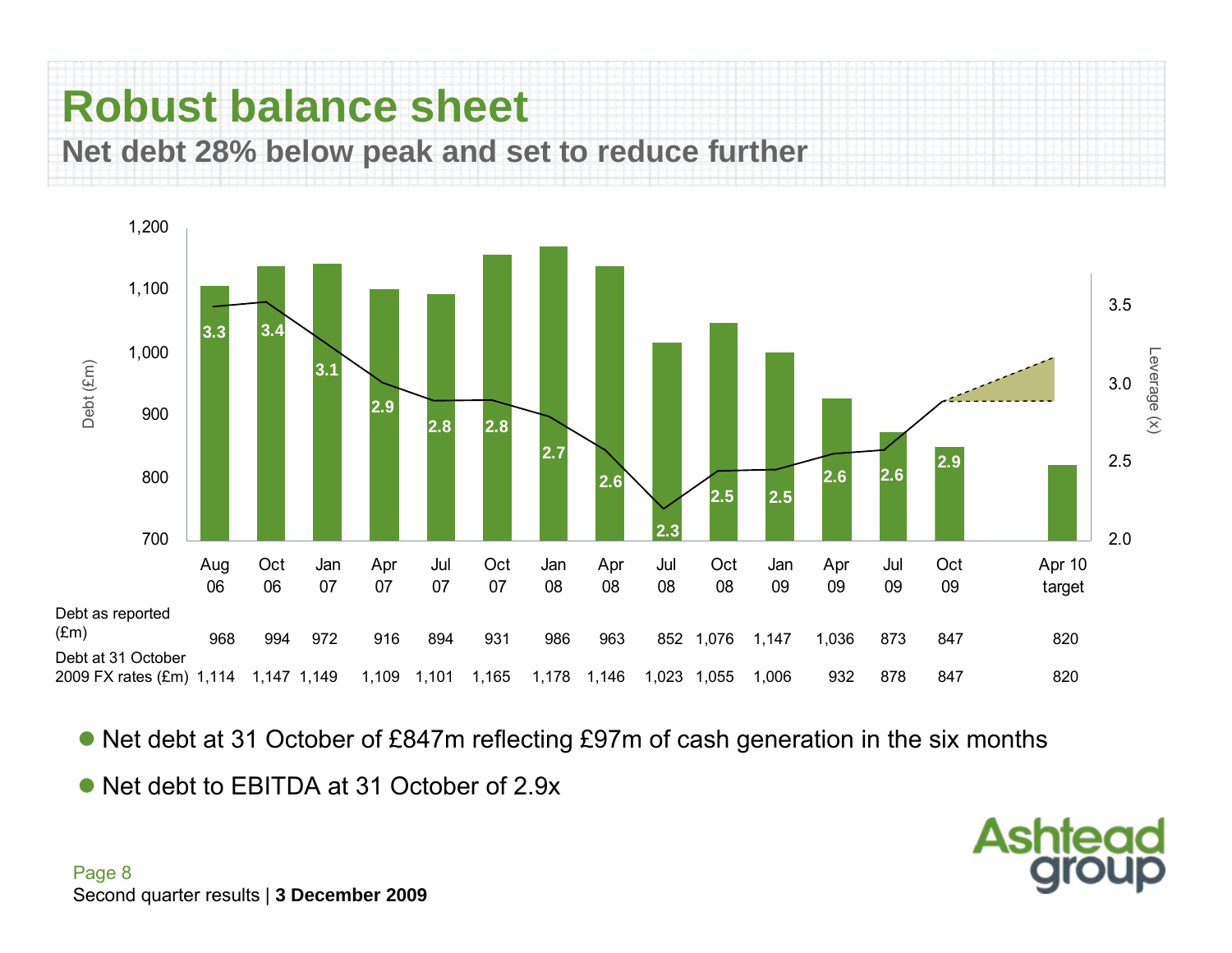



Net debt at 31 October of £847m reflecting £97m of cash generation in the six months

**Ashtead** 

• Net debt to EBITDA at 31 October of 2.9x

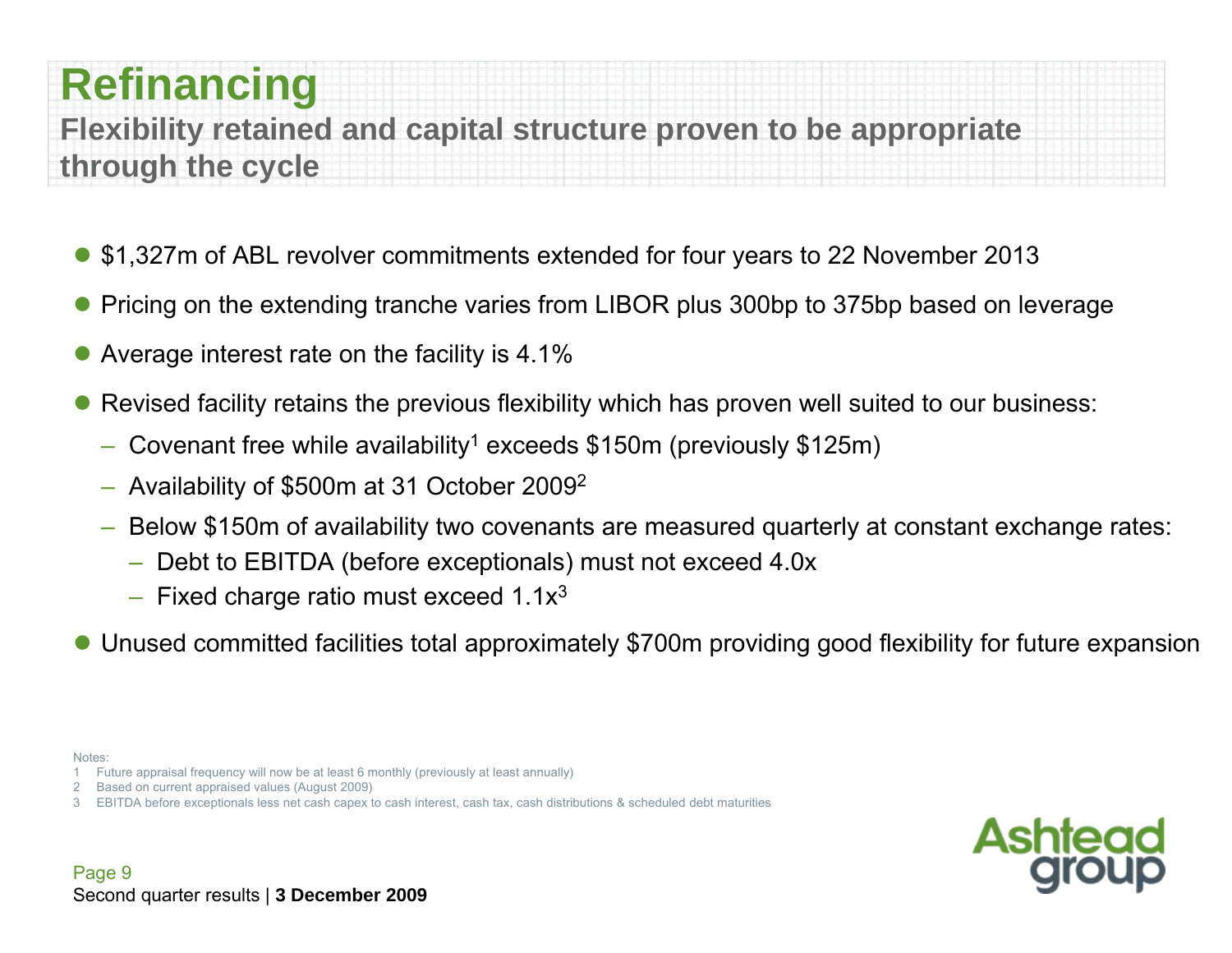### **Refinancing**

**Flexibility retained and capital structure proven to be appropriate through the cycle**

- \$1,327m of ABL revolver commitments extended for four years to 22 November 2013
- $\bullet$ Pricing on the extending tranche varies from LIBOR plus 300bp to 375bp based on leverage
- $\bullet$ Average interest rate on the facility is 4.1%
- $\bullet$  Revised facility retains the previous flexibility which has proven well suited to our business:
	- –Covenant free while availability<sup>1</sup> exceeds \$150m (previously \$125m)
	- $-$  Availability of \$500m at 31 October 2009<sup>2</sup>
	- Below \$150m of availability two covenants are measured quarterly at constant exchange rates:
		- Debt to EBITDA (before exceptionals) must not exceed 4.0x
		- $-$  Fixed charge ratio must exceed 1.1x<sup>3</sup>
- Unused committed facilities total approximately \$700m providing good flexibility for future expansion
- Notes:

- 2 Based on current appraised values (August 2009)
- EBITDA before exceptionals less net cash capex to cash interest, cash tax, cash distributions & scheduled debt maturities

<sup>1</sup> Future appraisal frequency will now be at least 6 monthly (previously at least annually)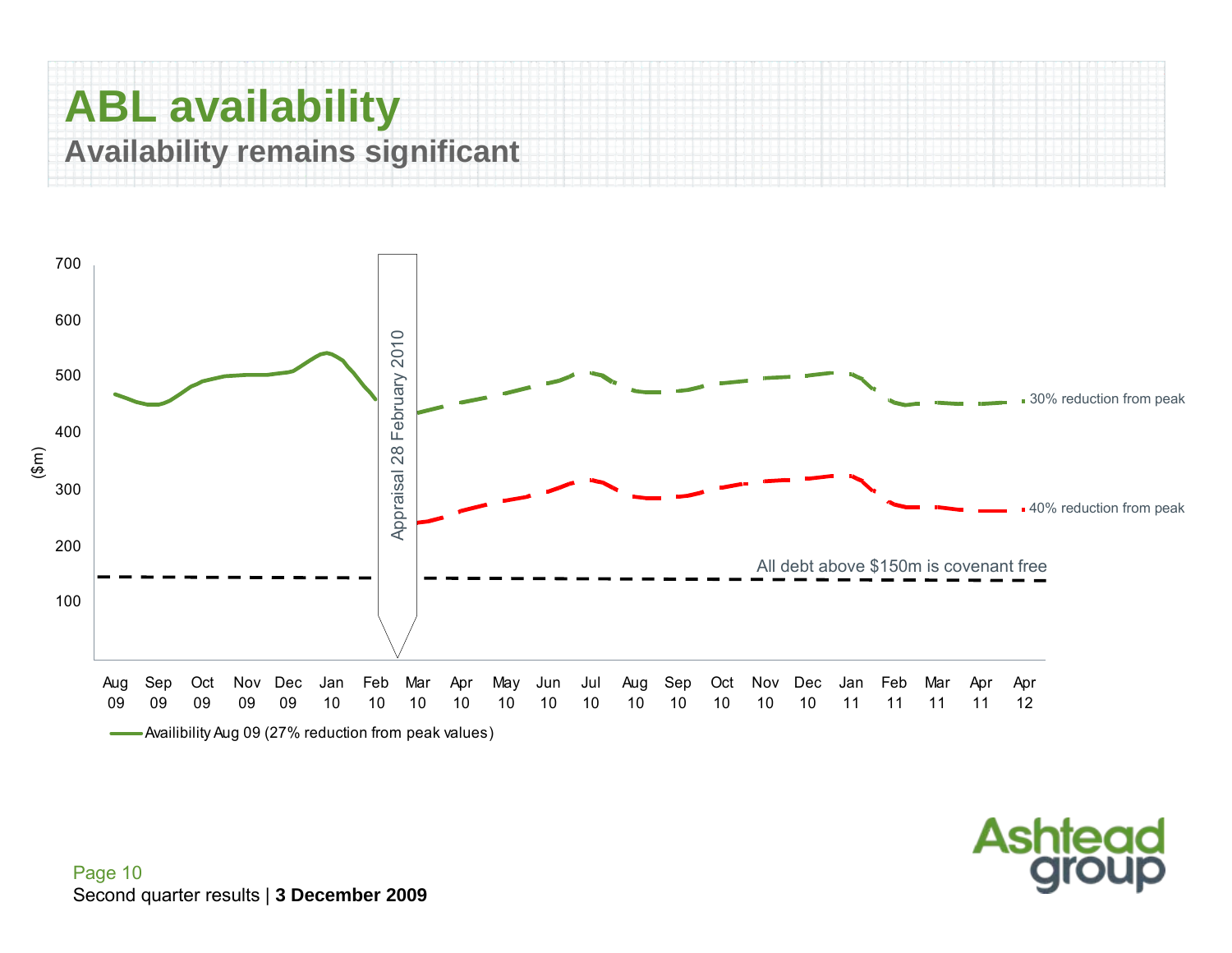### **ABL availability Availability remains significant**



**Ashtead**<br>group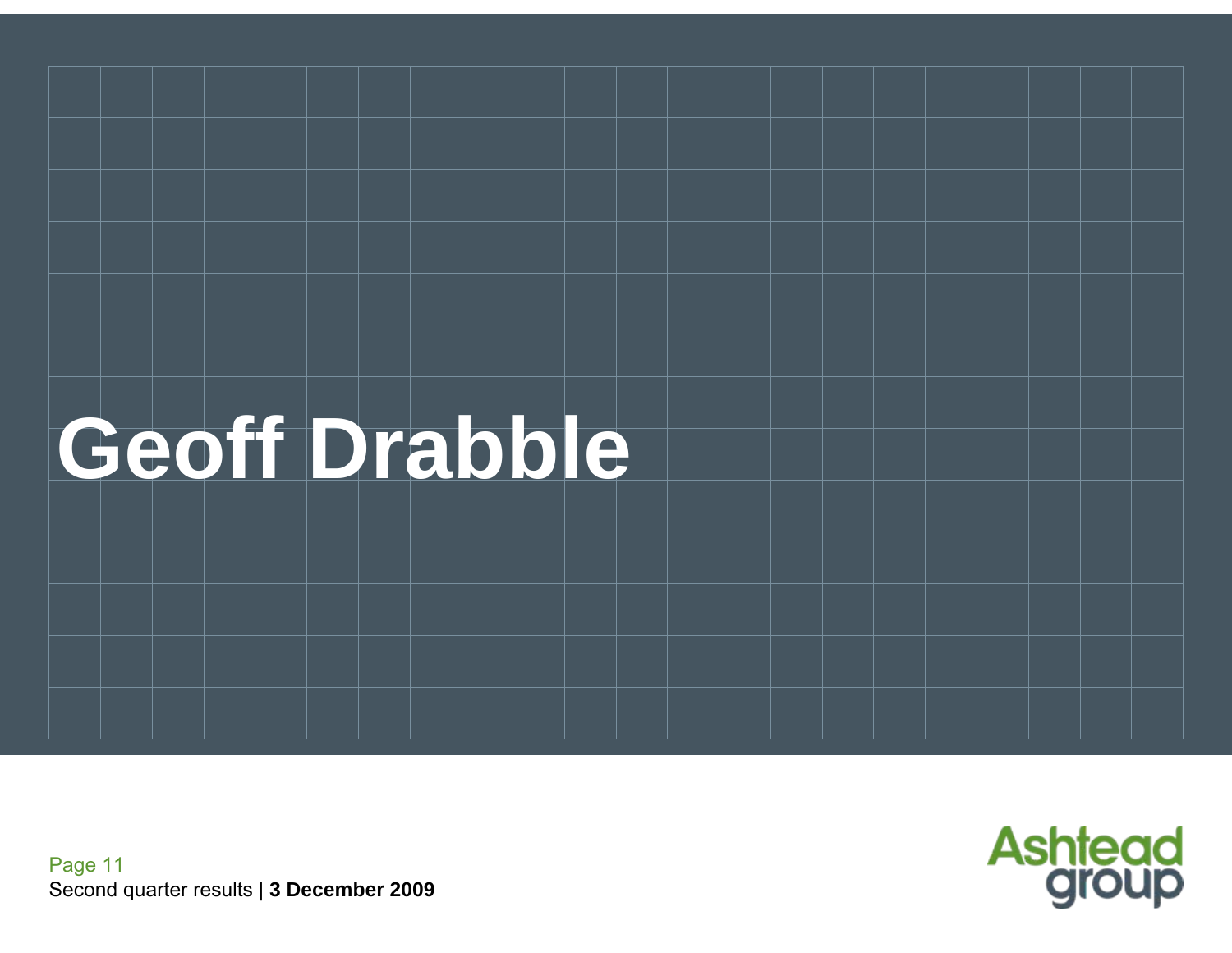



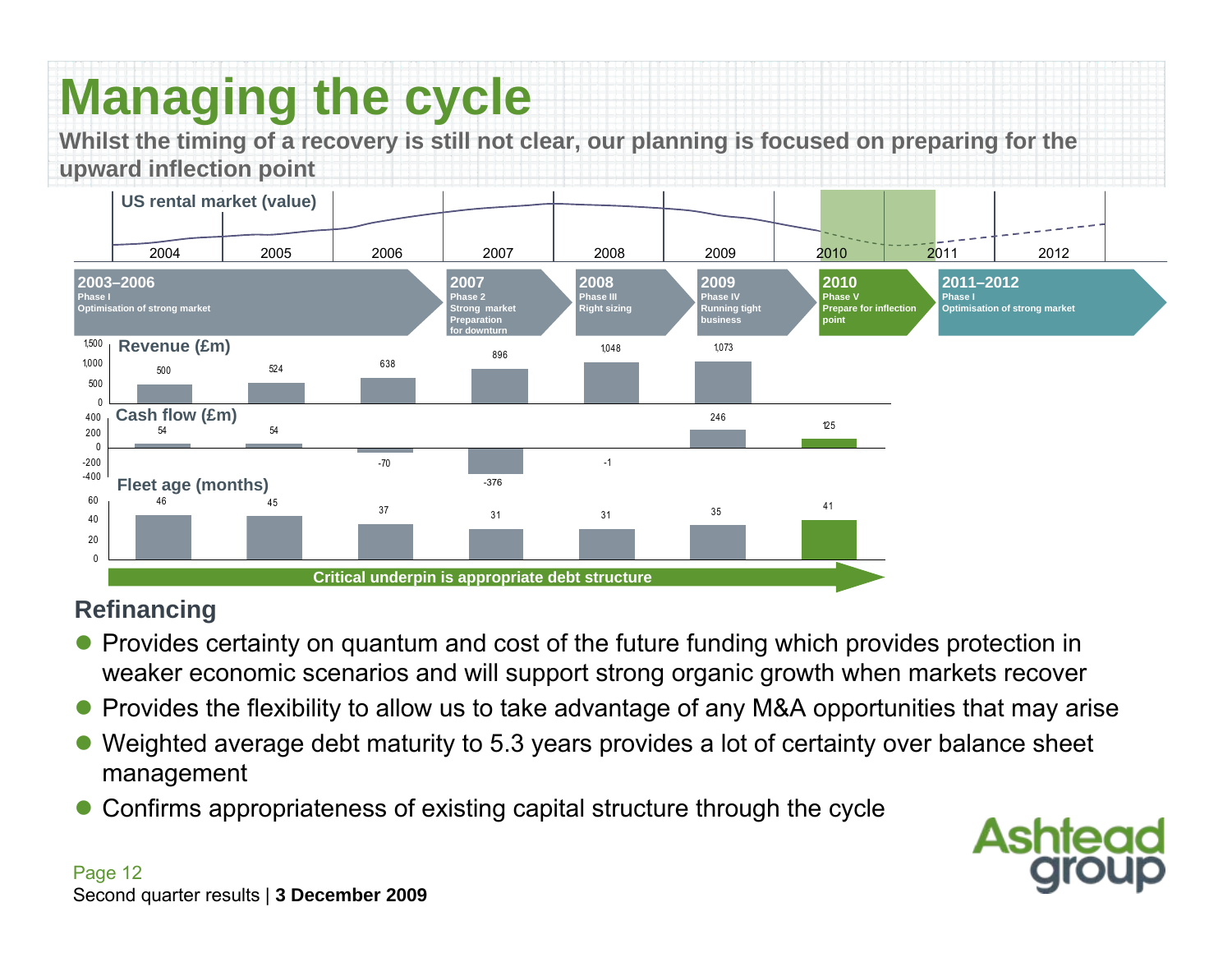## **Managing the cycle**

**Whilst the timing of a recovery is still not clear, our planning is focused on preparing for the upward inflection point**



#### **Refinancing**

- Provides certainty on quantum and cost of the future funding which provides protection in weaker economic scenarios and will support strong organic growth when markets recover
- $\bullet$ Provides the flexibility to allow us to take advantage of any M&A opportunities that may arise
- $\bullet$  Weighted average debt maturity to 5.3 years provides a lot of certainty over balance sheet management
- $\bullet$ Confirms appropriateness of existing capital structure through the cycle

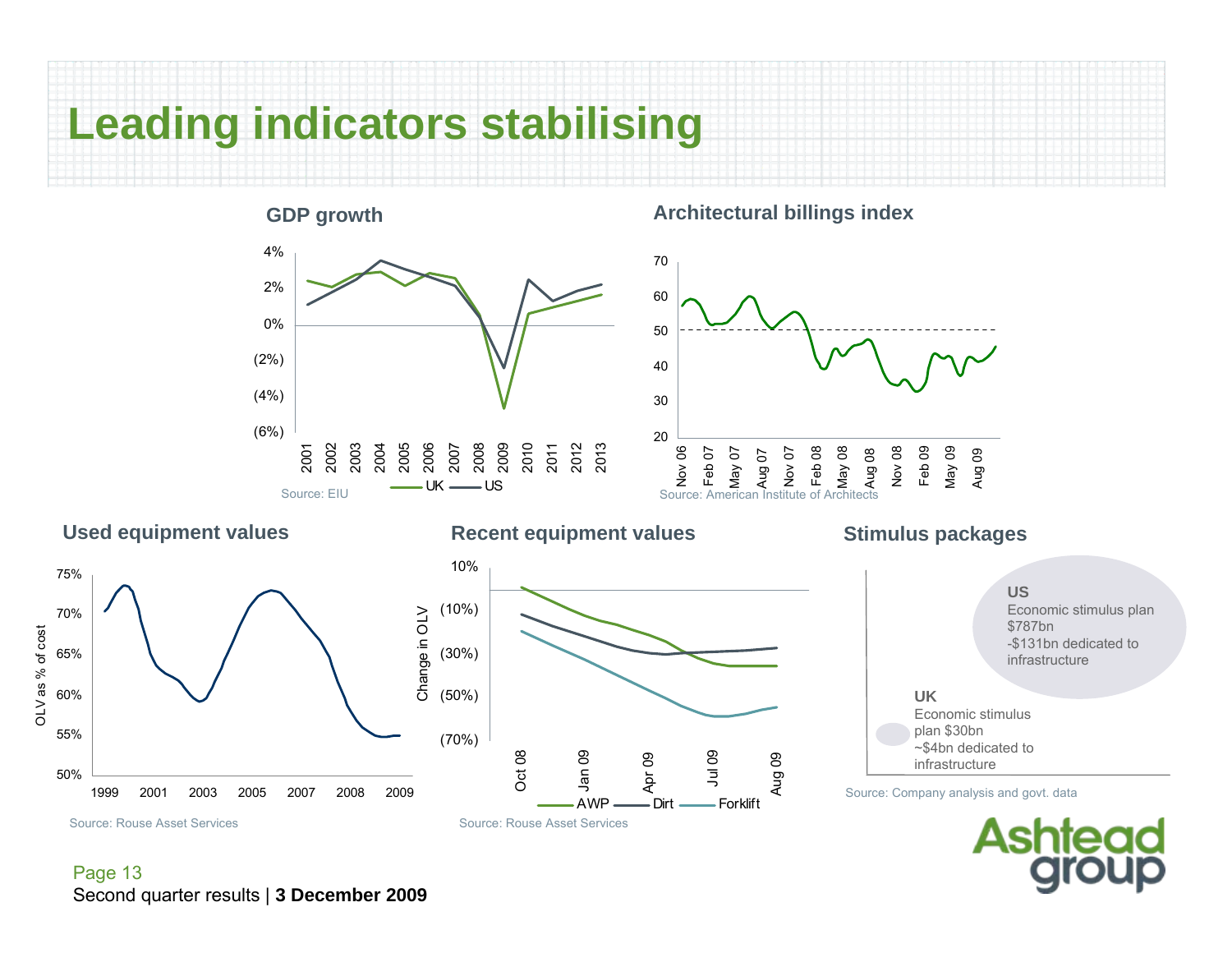

#### **GDP growth** (6%) (4%) (2%) 0%2%4%2001 2002 2003 2004 2005 2006 2007 2008 2009 2010 2011 2012 2013 UK US Source: EIUSource: American Institute of Architects

#### **Architectural billings index**



#### **Used equipment values**

OLV as % of cost

OLV as % of cost



#### **Recent equipment values**

Apr 09

AWP

#### Jul 09 Aug 09 Dirt - Forklift **Stimulus packages UK** Economic stimulusplan \$30bn ~\$4bn dedicated to infrastructure**US**Economic stimulus plan \$787bn -\$131bn dedicated to infrastructureSource: Company analysis and govt. data



Page 13 Second quarter results | **3 December 2009**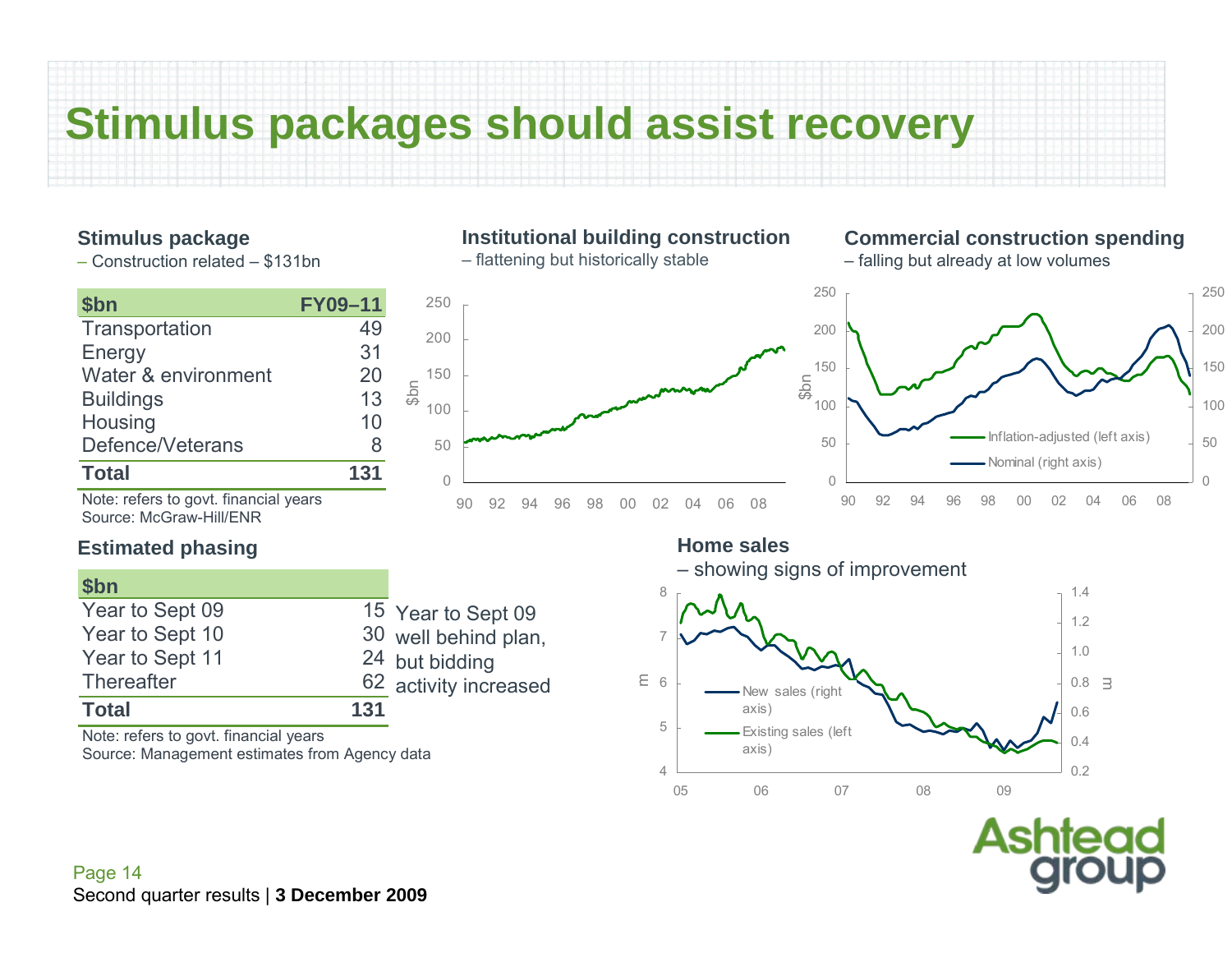### **Stimulus packages should assist recovery**

#### **Stimulus package**

– Construction related – \$131bn

| \$bn                                                             | <b>FY09-11</b> | 250                |                       |
|------------------------------------------------------------------|----------------|--------------------|-----------------------|
| Transportation                                                   | 49             | 200                |                       |
| Energy                                                           | 31             |                    |                       |
| Water & environment                                              | 20             | 150                |                       |
| <b>Buildings</b>                                                 | 13             | $\sqrt{25}$<br>100 |                       |
| Housing                                                          | 10             |                    |                       |
| Defence/Veterans                                                 | 8              | 50                 |                       |
| <b>Total</b>                                                     | 131            | 0                  |                       |
| Note: refers to govt. financial years<br>Source: McGraw-Hill/ENR |                |                    | 92<br>90<br>94        |
| <b>Estimated phasing</b>                                         |                |                    |                       |
| \$ <sub>bn</sub>                                                 |                |                    |                       |
| Year to Sept 09                                                  |                |                    | 15 Year to Sept 09    |
| Year to Sept 10                                                  |                |                    | 30 well behind plan,  |
| Year to Sept 11                                                  |                | 24 but bidding     |                       |
| <b>Thereafter</b>                                                |                |                    | 62 activity increased |
| <b>Total</b>                                                     | 131            |                    |                       |

Note: refers to govt. financial years Source: Management estimates from Agency data

#### **Institutional building construction**

– flattening but historically stable



#### **Commercial construction spending**

– falling but already at low volumes



#### **Home sales**



Asr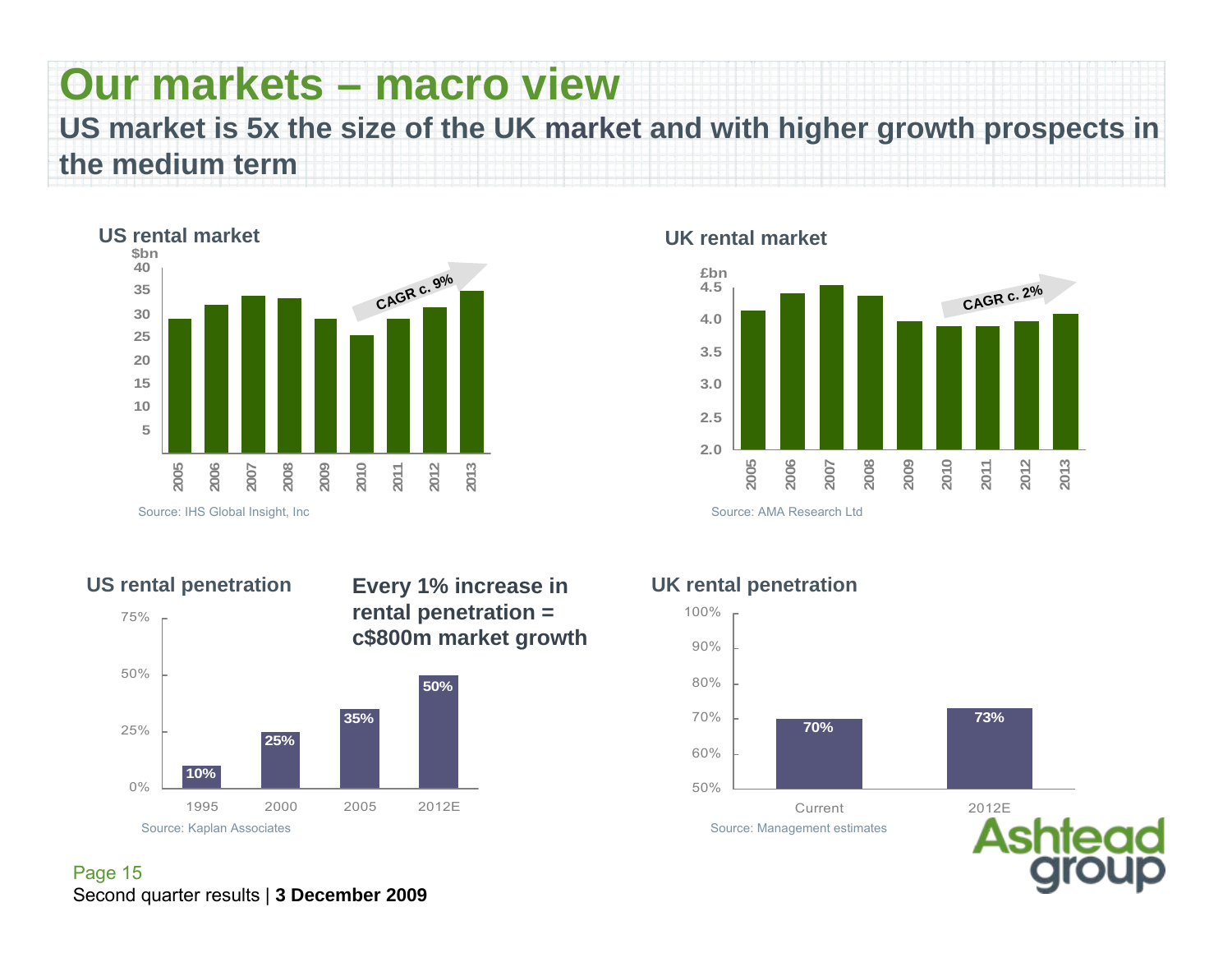## **Our markets – macro view**

**US market is 5x the size of the UK market and with higher growth prospects in the medium term**



#### **UK rental market**





 $0\%$ 

25%

50%

75%

**50%Every 1% increase in rental penetration = c\$800m market growth**

### **10%25%35%**1995 2000 2005 2012E

#### **UK rental penetration**

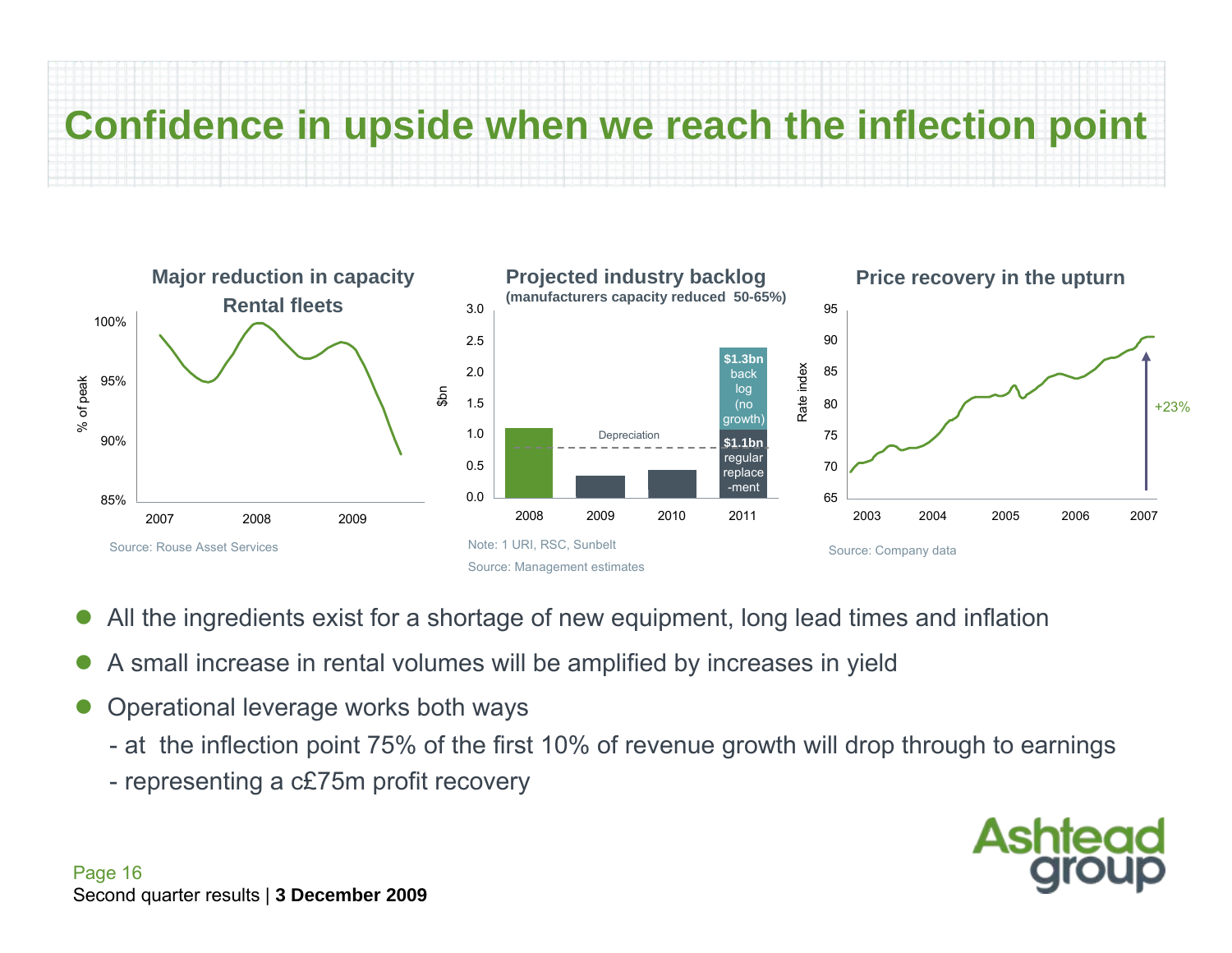# **Confidence in upside when we reach the inflection point**



- $\bullet$ All the ingredients exist for a shortage of new equipment, long lead times and inflation
- $\bullet$ A small increase in rental volumes will be amplified by increases in yield
- $\bullet$  Operational leverage works both ways
	- at the inflection point 75% of the first 10% of revenue growth will drop through to earnings
	- representing a c£75m profit recovery

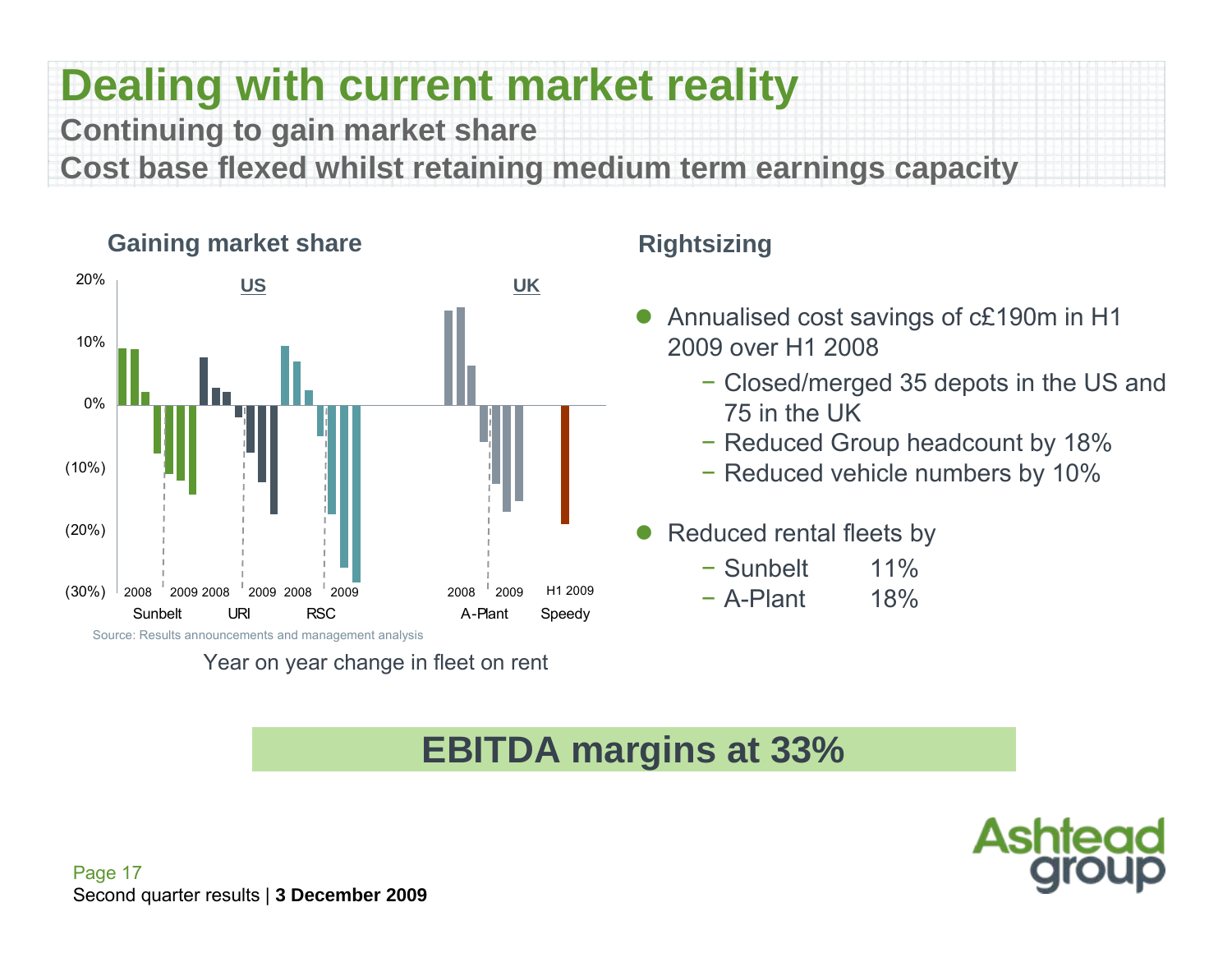## **Dealing with current market reality Continuing to gain market share**

**Cost base flexed whilst retaining medium term earnings capacity**



#### **Gaining market share**

Year on year change in fleet on rent

#### **Rightsizing**

- $\bullet$  Annualised cost savings of c£190m in H1 2009 over H1 2008
	- − Closed/merged 35 depots in the US and 75 in the UK
	- − Reduced Group headcount by 18%
	- − Reduced vehicle numbers by 10%
- $\bullet$  Reduced rental fleets by
	- − Sunbelt 11%
	- − A-Plant 18%

### **EBITDA margins at 33%**

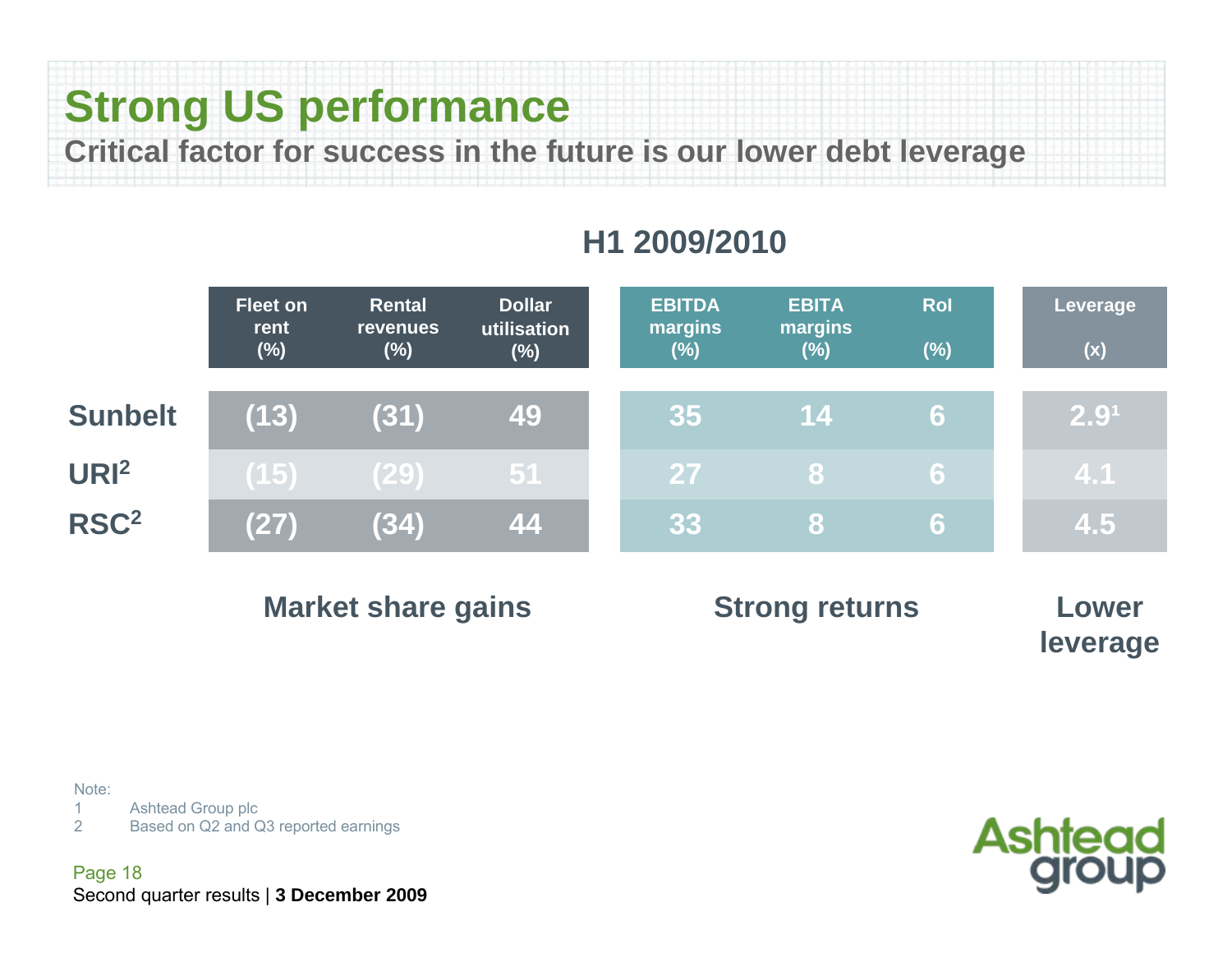## **Strong US performance**

**Critical factor for success in the future is our lower debt leverage** 

|                  | <b>Fleet on</b><br>rent<br>$(\%)$ | <b>Rental</b><br><b>revenues</b><br>$(\%)$ | <b>Dollar</b><br>utilisation<br>$(\%)$ | <b>EBITDA</b><br>margins<br>$(\%)$ | <b>EBITA</b><br>margins<br>$(\%)$ | <b>Rol</b><br>$(\%)$ | <b>Leverage</b><br>(x) |
|------------------|-----------------------------------|--------------------------------------------|----------------------------------------|------------------------------------|-----------------------------------|----------------------|------------------------|
| <b>Sunbelt</b>   | (13)                              | (31)                                       | <b>49</b>                              | 35                                 | <b>14</b>                         | 6                    | 2.9 <sup>1</sup>       |
| UR <sub>I2</sub> | (15)                              | (29)                                       | 51                                     | 27                                 | <b>87</b>                         | 6                    | 4.1                    |
| RSC <sup>2</sup> | (27)                              | (34)                                       | 44                                     | 33                                 | 81                                | <b>6</b>             | 4.5                    |

### **H1 2009/2010**

| <b>Market share gains</b> | <b>Strong returns</b> | Lower    |
|---------------------------|-----------------------|----------|
|                           |                       | leverage |

Note:

1Ashtead Group plc

2Based on Q2 and Q3 reported earnings

Page 18 Second quarter results | **3 December 2009**

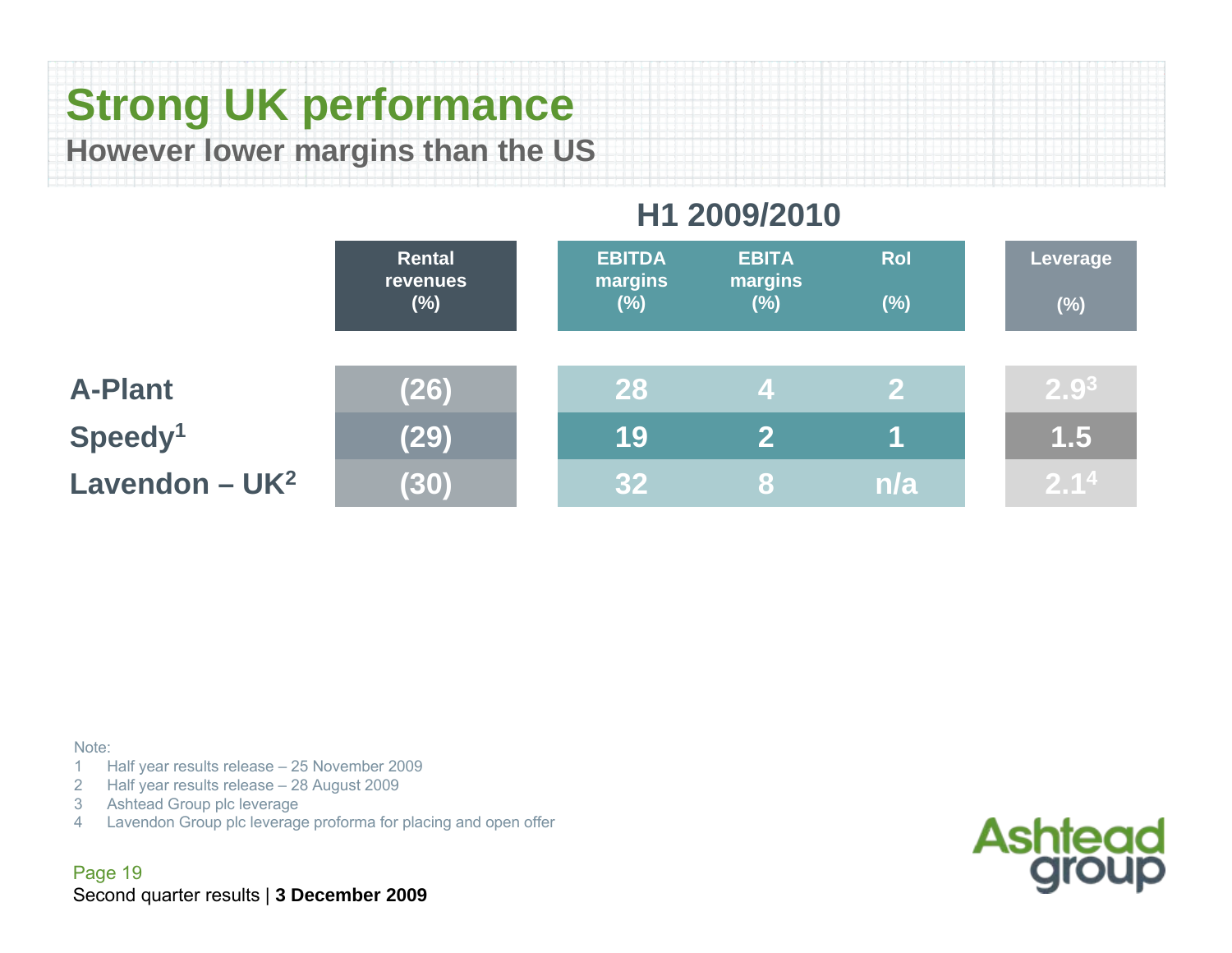### **Strong UK performance However lower margins than the US**

### **H1 2009/2010**

|                     | <b>Rental</b><br><b>revenues</b><br>$(\%)$ | <b>EBITDA</b><br>margins<br>$(\%)$ | <b>EBITA</b><br>margins<br>$(\%)$ | <b>Rol</b><br>$(\%)$ | Leverage<br>$(\%)$ |
|---------------------|--------------------------------------------|------------------------------------|-----------------------------------|----------------------|--------------------|
| <b>A-Plant</b>      | (26)                                       | 28                                 | 4                                 | $\mathbf{2}$         | 2.9 <sup>3</sup>   |
| Speedy <sup>1</sup> | (29)                                       | 19                                 | $\mathbf{P}$                      |                      | 1.5                |
| Lavendon - $UK2$    | (30)                                       | 32 <sub>2</sub>                    | 8                                 | n/a                  | 2.1 <sup>4</sup>   |

#### Note:

- 1 Half year results release 25 November 2009 1
- 2Half year results release – 28 August 2009
- 3Ashtead Group plc leverage
- 4Lavendon Group plc leverage proforma for placing and open offer

Page 19 Second quarter results | **3 December 2009**

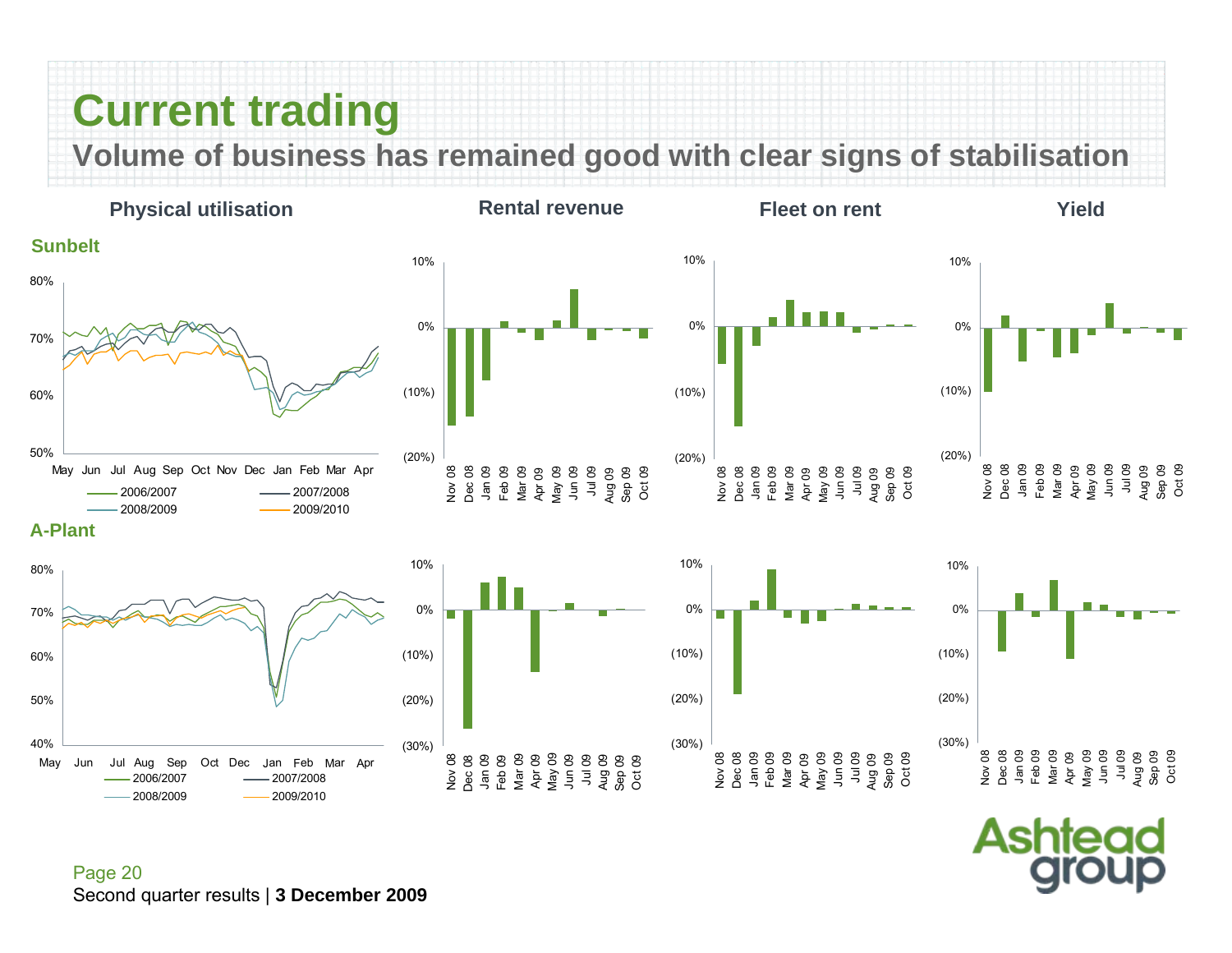### **Current trading**

**Volume of business has remained good with clear signs of stabilisation**



(30%)

Nov 08 Dec 08 Jan 09 Feb 09 Mar 09 Apr 09 May 09 Jun 09 Jul 09 Aug 09 Sep 09 Oct 09

(20%)

(10%)

0%

(30%)

Asr

88<br>28 B B B B B B B B B B B<br>2 B → F L L L L L L L L L L L L<br>2 D → F L L L L L L L L L L L D C

(20%)

(10%)

0%

8<br>8 8 8 8 8 8 9 8 8 9 8 9<br>2 8 5 9 8 9 9 9 9 9 9 9<br>2 8 9 9 9 9 9 9 9 9 9 9

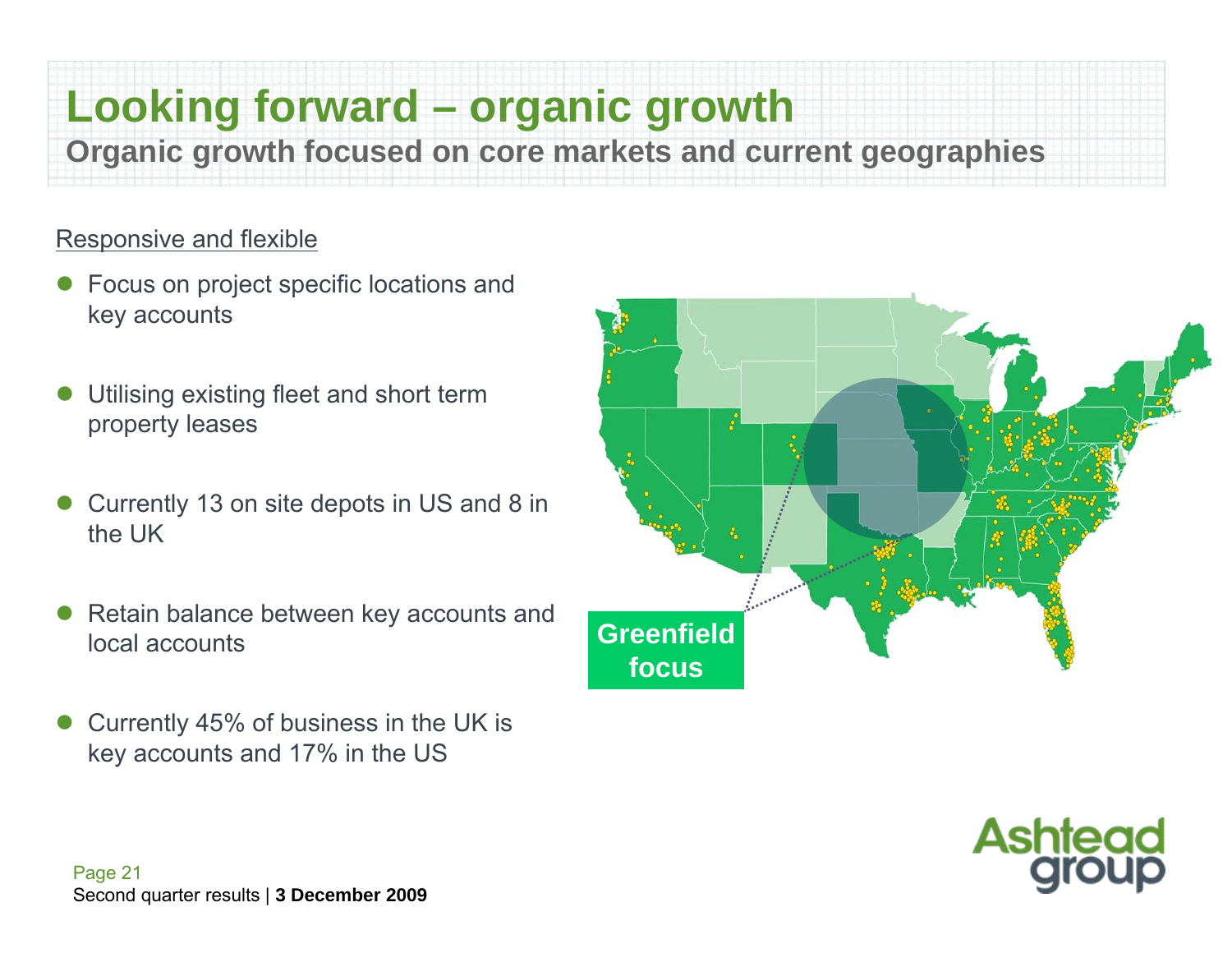## **Looking forward – organic growth**

**Organic growth focused on core markets and current geographies**

#### Responsive and flexible

- $\bullet$  Focus on project specific locations and key accounts
- $\bullet$  Utilising existing fleet and short term property leases
- $\bullet$  Currently 13 on site depots in US and 8 in the UK
- $\bullet$  Retain balance between key accounts and local accounts
- $\bullet$  Currently 45% of business in the UK is key accounts and 17% in the US



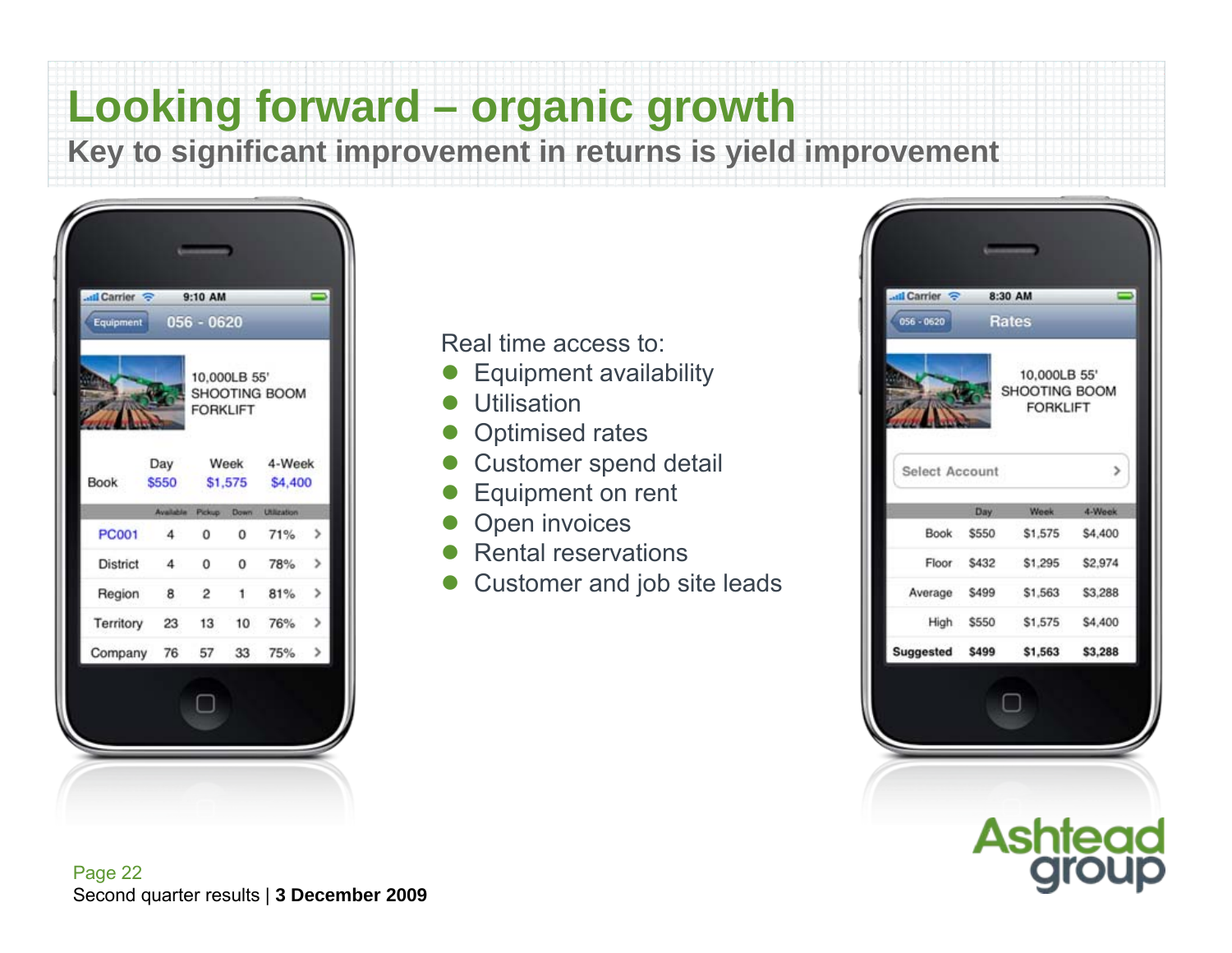## **Looking forward – organic growth**

**Key to significant improvement in returns is yield improvement**



Real time access to:

- $\bullet$ Equipment availability
- $\bullet$ **Utilisation**
- $\bullet$ Optimised rates
- Customer spend detail
- $\bullet$ Equipment on rent
- $\bullet$ Open invoices
- $\bullet$ Rental reservations
- $\bullet$ Customer and job site leads



**Ashtead**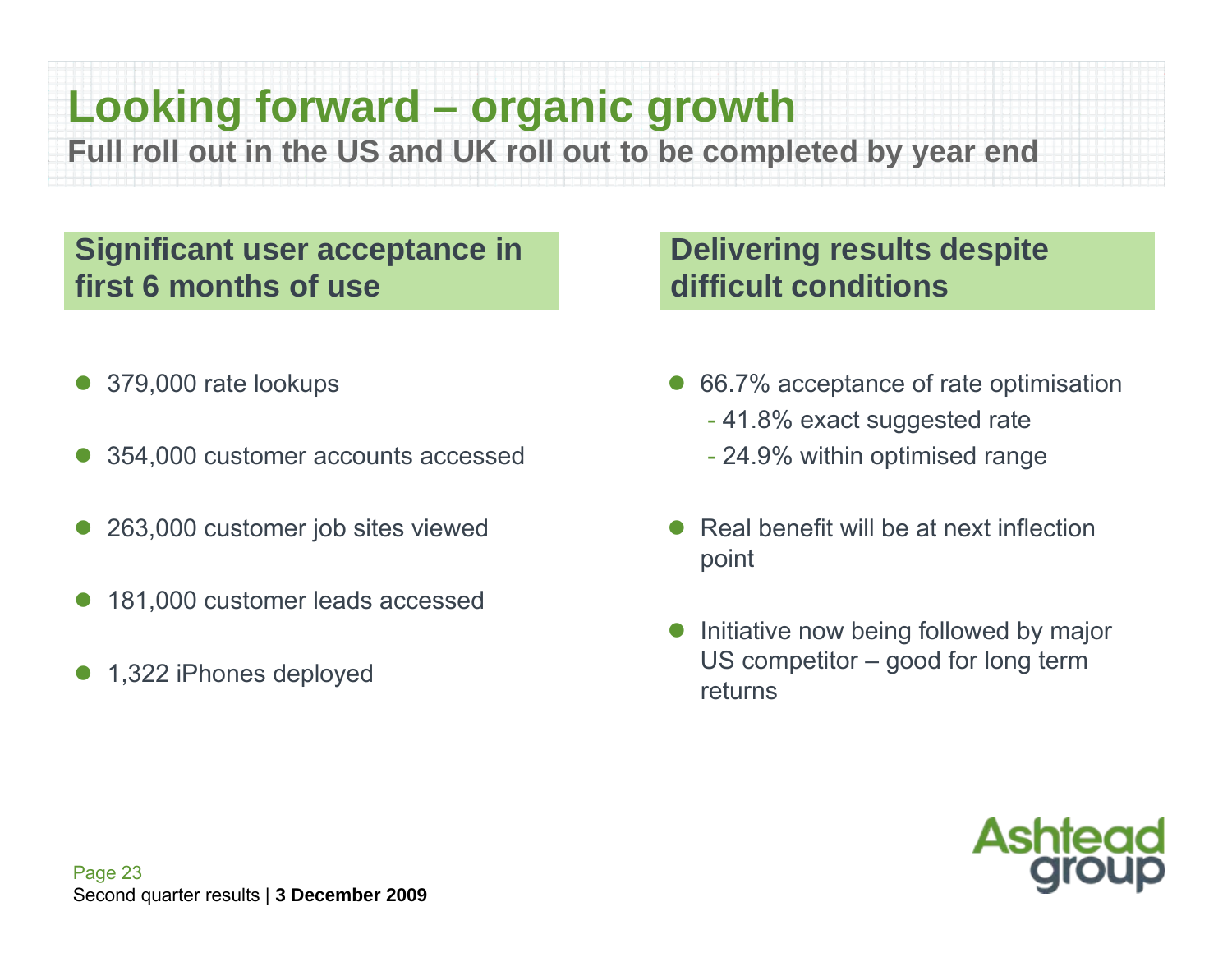## **Looking forward – organic growth**

**Full roll out in the US and UK roll out to be completed by year end**

#### **Significant user acceptance in first 6 months of use**

- $\bullet$ 379,000 rate lookups
- $\bullet$ 354,000 customer accounts accessed
- $\bullet$ 263,000 customer job sites viewed
- $\bullet$ 181,000 customer leads accessed
- $\bullet$ 1,322 iPhones deployed

#### **Delivering results despite difficult conditions**

- $\bullet$  66.7% acceptance of rate optimisation
	- 41.8% exact suggested rate
	- 24.9% within optimised range
- $\bullet$  Real benefit will be at next inflection point
- $\bullet$  Initiative now being followed by major US competitor – good for long term returns

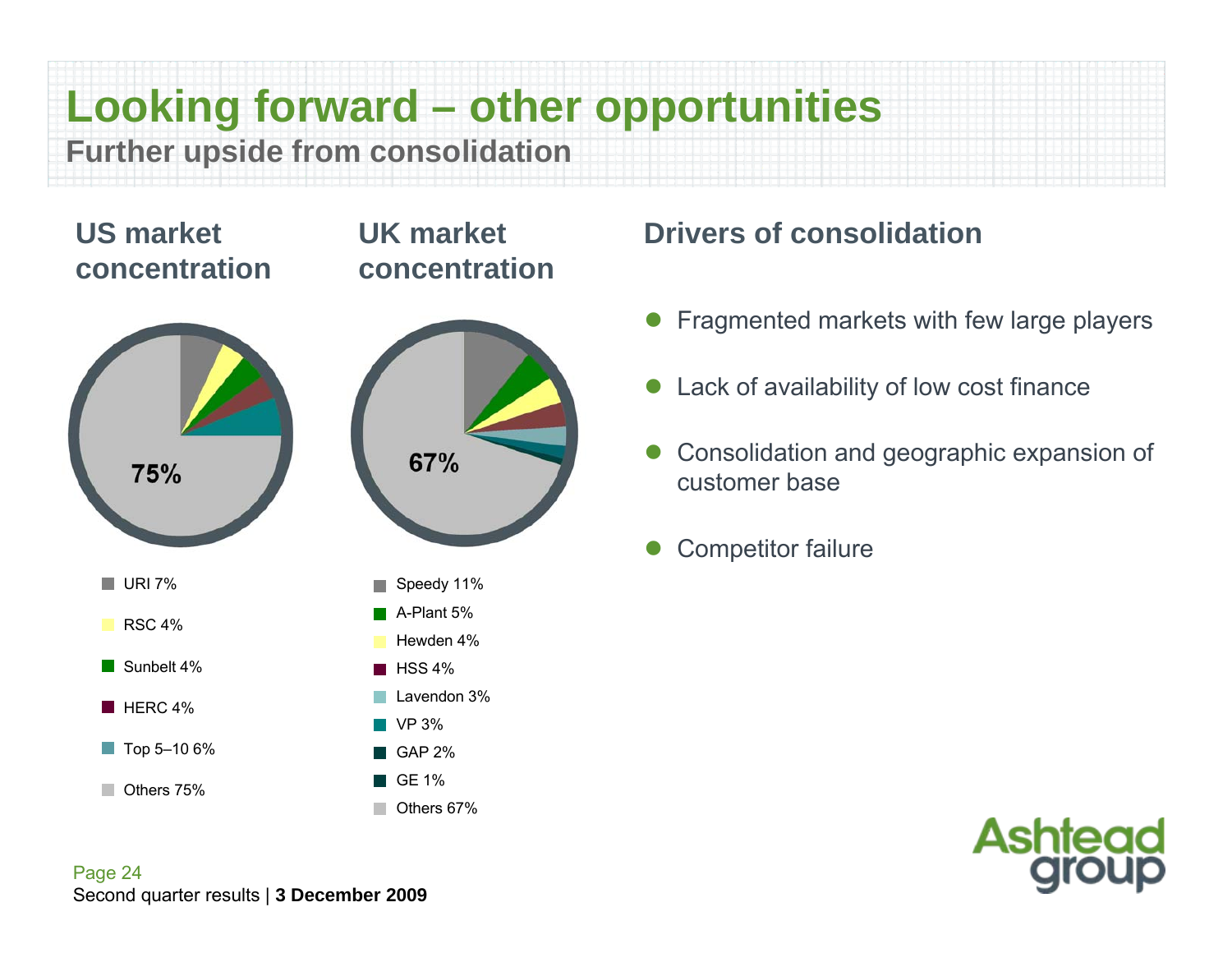**Looking forward – other opportunities** 

**UK market** 

**concentration**

**Further upside from consolidation**

#### **US market concentration**



#### **Drivers of consolidation**

- $\bullet$ Fragmented markets with few large players
- $\bullet$ Lack of availability of low cost finance
- $\bullet$  Consolidation and geographic expansion of customer base
- $\bullet$ Competitor failure

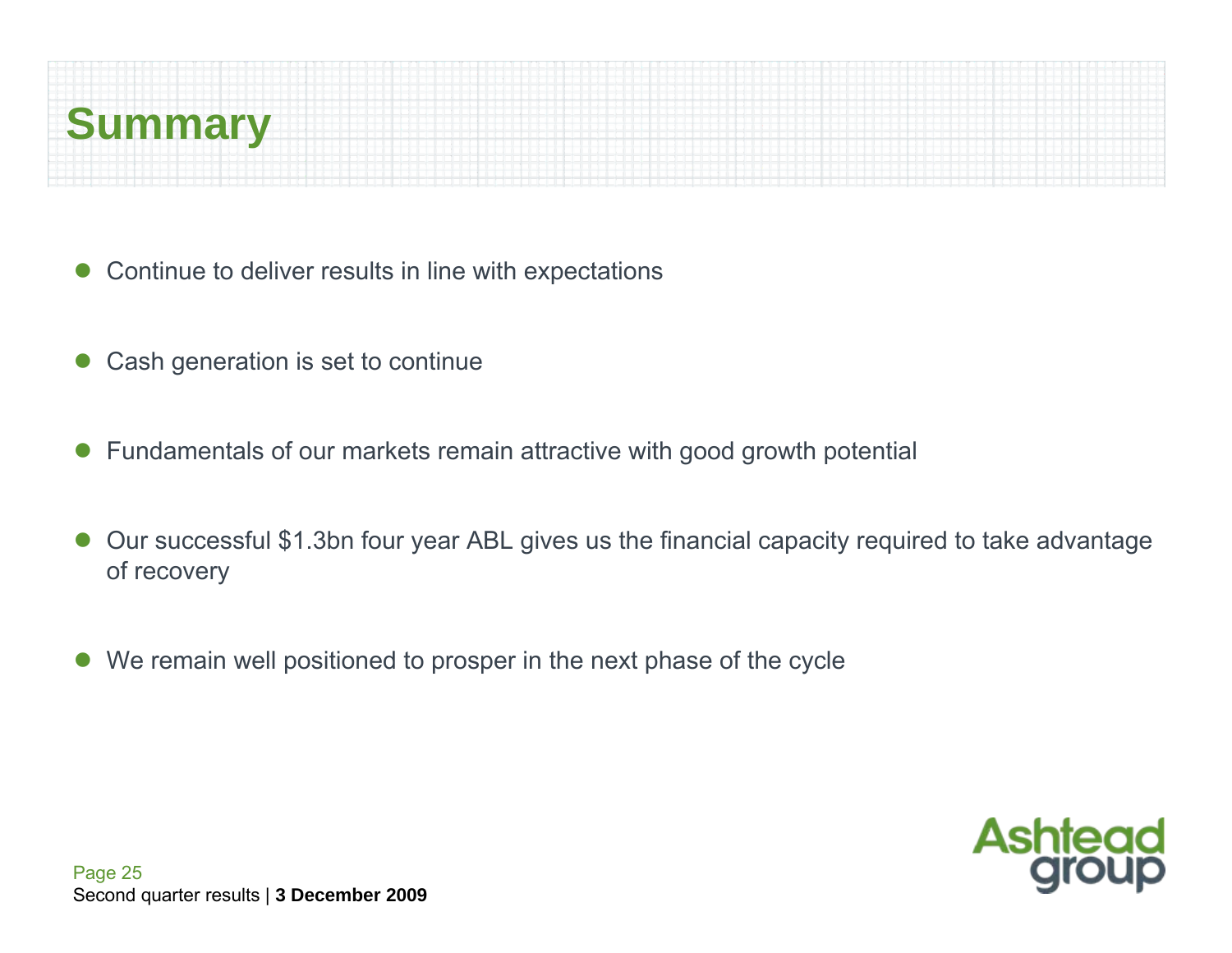

- $\bullet$ Continue to deliver results in line with expectations
- $\bullet$ Cash generation is set to continue
- $\bullet$ Fundamentals of our markets remain attractive with good growth potential
- $\bullet$  Our successful \$1.3bn four year ABL gives us the financial capacity required to take advantage of recovery
- $\bullet$ We remain well positioned to prosper in the next phase of the cycle

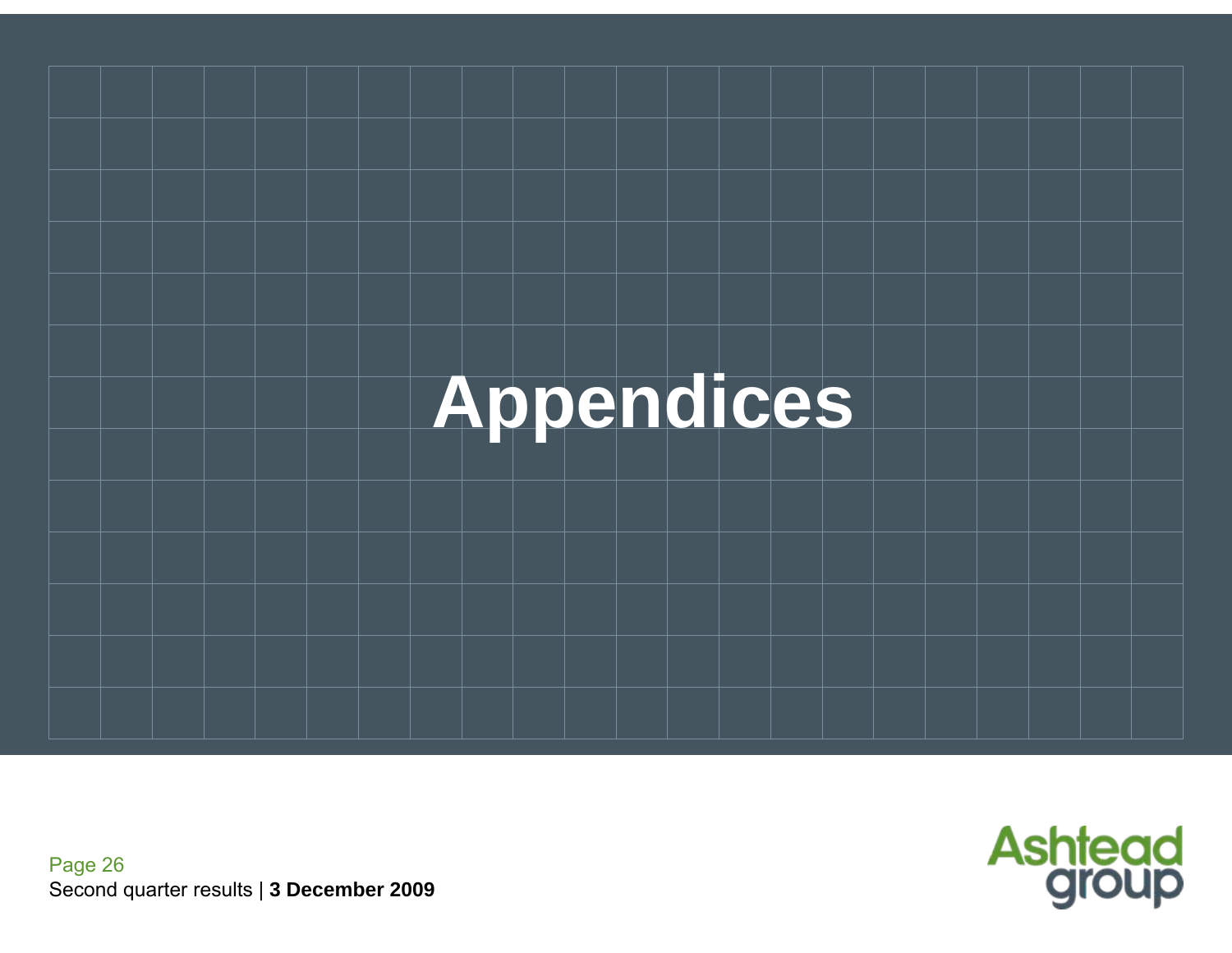

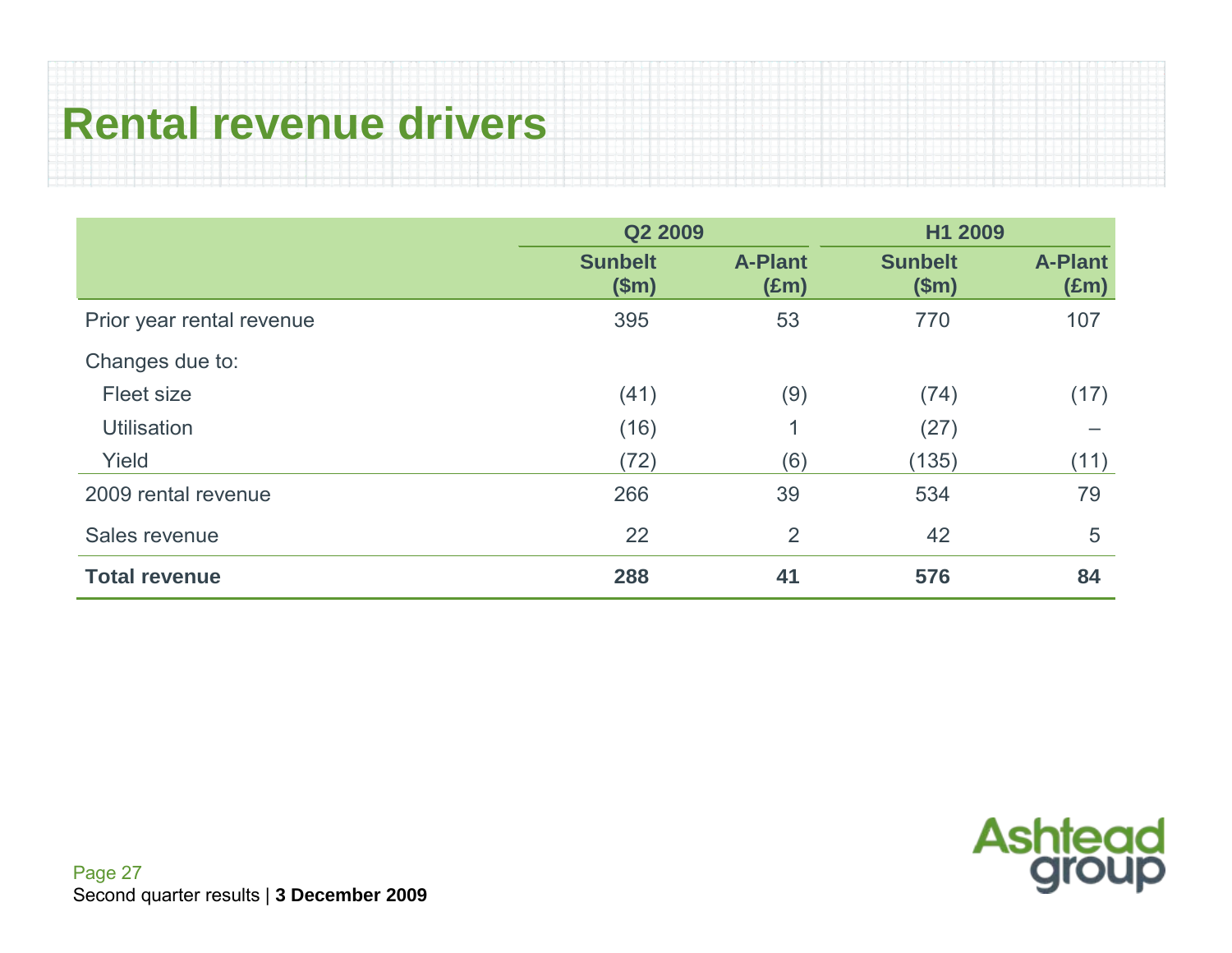## **Rental revenue drivers**

|                           | Q2 2009                 |                                 | H1 2009                 |                                 |
|---------------------------|-------------------------|---------------------------------|-------------------------|---------------------------------|
|                           | <b>Sunbelt</b><br>\$m\$ | <b>A-Plant</b><br>$(\text{Em})$ | <b>Sunbelt</b><br>\$m\$ | <b>A-Plant</b><br>$(\text{Em})$ |
| Prior year rental revenue | 395                     | 53                              | 770                     | 107                             |
| Changes due to:           |                         |                                 |                         |                                 |
| Fleet size                | (41)                    | (9)                             | (74)                    | (17)                            |
| <b>Utilisation</b>        | (16)                    |                                 | (27)                    |                                 |
| Yield                     | (72)                    | (6)                             | (135)                   | (11)                            |
| 2009 rental revenue       | 266                     | 39                              | 534                     | 79                              |
| Sales revenue             | 22                      | $\overline{2}$                  | 42                      | 5                               |
| <b>Total revenue</b>      | 288                     | 41                              | 576                     | 84                              |

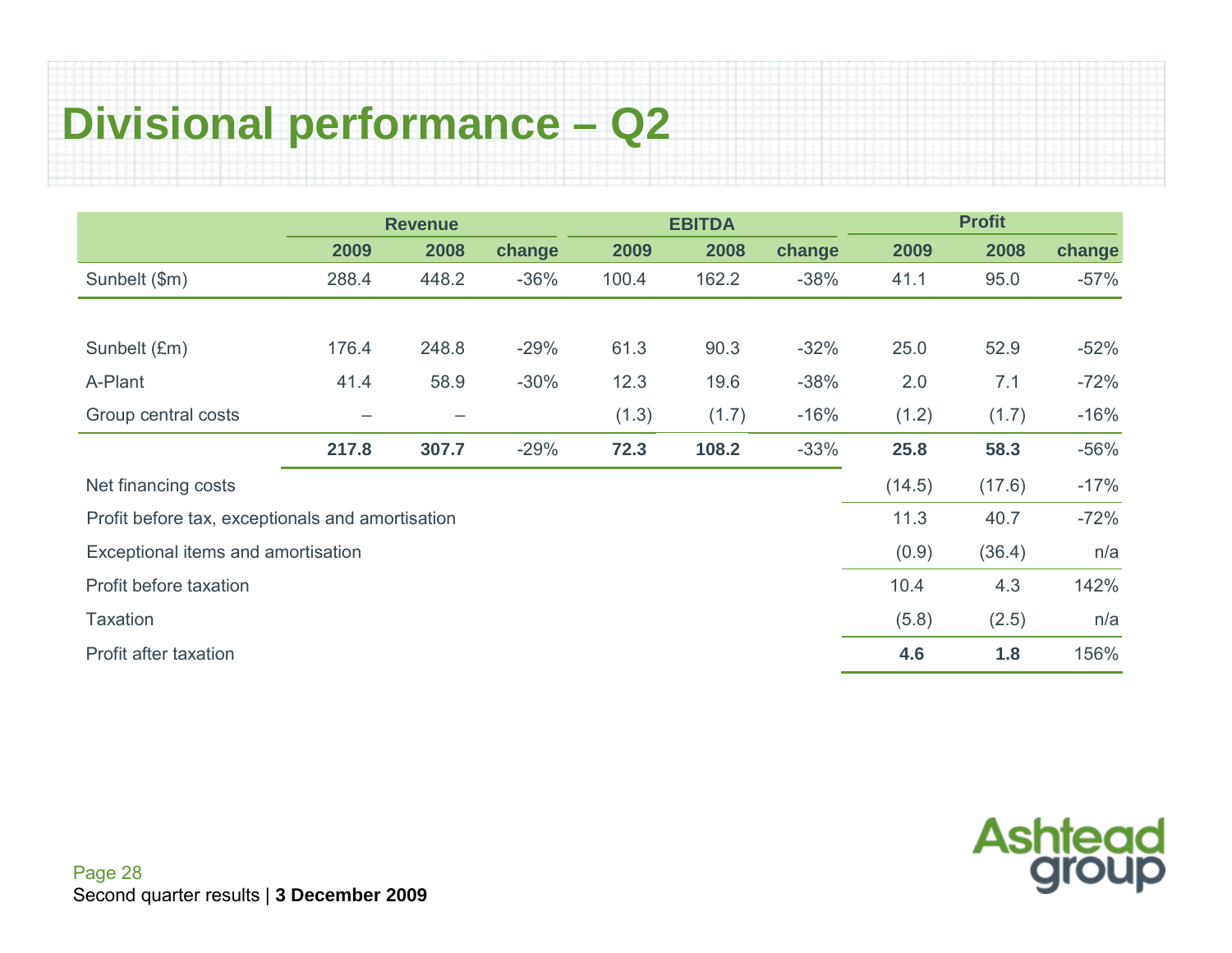## **Divisional performance – Q2**

|                                                  |                   | <b>Revenue</b> |        |       | <b>EBITDA</b> |        |        | <b>Profit</b> |        |
|--------------------------------------------------|-------------------|----------------|--------|-------|---------------|--------|--------|---------------|--------|
|                                                  | 2009              | 2008           | change | 2009  | 2008          | change | 2009   | 2008          | change |
| Sunbelt (\$m)                                    | 288.4             | 448.2          | $-36%$ | 100.4 | 162.2         | $-38%$ | 41.1   | 95.0          | $-57%$ |
|                                                  |                   |                |        |       |               |        |        |               |        |
| Sunbelt (£m)                                     | 176.4             | 248.8          | $-29%$ | 61.3  | 90.3          | $-32%$ | 25.0   | 52.9          | $-52%$ |
| A-Plant                                          | 41.4              | 58.9           | $-30%$ | 12.3  | 19.6          | $-38%$ | 2.0    | 7.1           | $-72%$ |
| Group central costs                              | $\qquad \qquad -$ | -              |        | (1.3) | (1.7)         | $-16%$ | (1.2)  | (1.7)         | $-16%$ |
|                                                  | 217.8             | 307.7          | $-29%$ | 72.3  | 108.2         | $-33%$ | 25.8   | 58.3          | $-56%$ |
| Net financing costs                              |                   |                |        |       |               |        | (14.5) | (17.6)        | $-17%$ |
| Profit before tax, exceptionals and amortisation |                   |                |        |       |               |        | 11.3   | 40.7          | $-72%$ |
| Exceptional items and amortisation               |                   |                |        |       |               |        | (0.9)  | (36.4)        | n/a    |
| Profit before taxation                           |                   |                |        |       |               |        | 10.4   | 4.3           | 142%   |
| <b>Taxation</b>                                  |                   |                |        |       |               |        | (5.8)  | (2.5)         | n/a    |
| Profit after taxation                            |                   |                |        |       |               |        | 4.6    | 1.8           | 156%   |

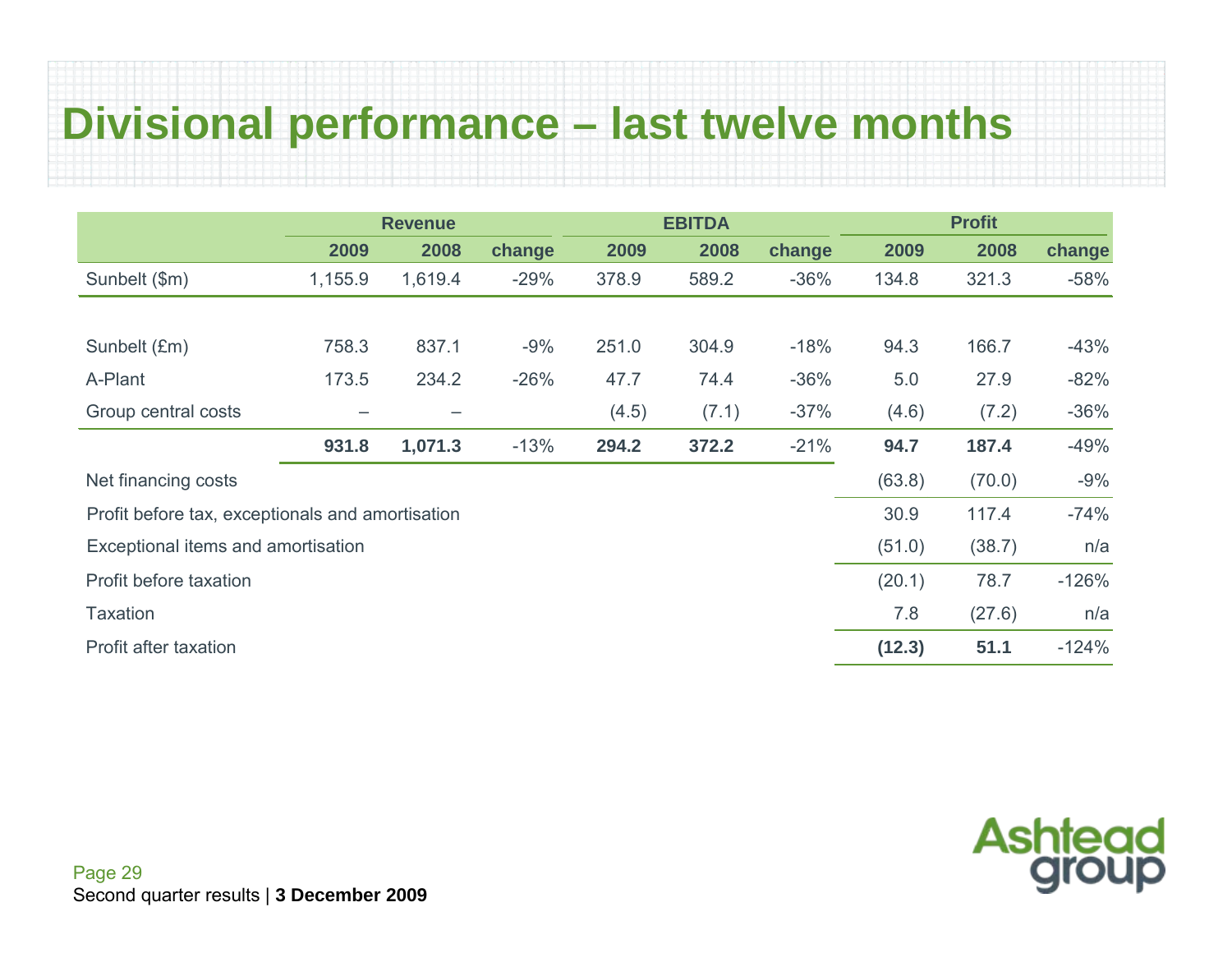## **Divisional performance – last twelve months**

|                                                  |                 | <b>Revenue</b> |        |       | <b>EBITDA</b> |        |        | <b>Profit</b> |         |
|--------------------------------------------------|-----------------|----------------|--------|-------|---------------|--------|--------|---------------|---------|
|                                                  | 2009            | 2008           | change | 2009  | 2008          | change | 2009   | 2008          | change  |
| Sunbelt (\$m)                                    | 1,155.9         | 1,619.4        | $-29%$ | 378.9 | 589.2         | $-36%$ | 134.8  | 321.3         | $-58%$  |
|                                                  |                 |                |        |       |               |        |        |               |         |
| Sunbelt (£m)                                     | 758.3           | 837.1          | $-9%$  | 251.0 | 304.9         | $-18%$ | 94.3   | 166.7         | $-43%$  |
| A-Plant                                          | 173.5           | 234.2          | $-26%$ | 47.7  | 74.4          | $-36%$ | 5.0    | 27.9          | $-82%$  |
| Group central costs                              | $\qquad \qquad$ |                |        | (4.5) | (7.1)         | $-37%$ | (4.6)  | (7.2)         | $-36%$  |
|                                                  | 931.8           | 1,071.3        | $-13%$ | 294.2 | 372.2         | $-21%$ | 94.7   | 187.4         | $-49%$  |
| Net financing costs                              |                 |                |        |       |               |        | (63.8) | (70.0)        | $-9%$   |
| Profit before tax, exceptionals and amortisation |                 |                |        |       |               |        | 30.9   | 117.4         | $-74%$  |
| Exceptional items and amortisation               |                 |                |        |       |               |        | (51.0) | (38.7)        | n/a     |
| Profit before taxation                           |                 |                |        |       |               |        | (20.1) | 78.7          | $-126%$ |
| <b>Taxation</b>                                  |                 |                |        |       |               |        | 7.8    | (27.6)        | n/a     |
| Profit after taxation                            |                 |                |        |       |               |        | (12.3) | 51.1          | $-124%$ |

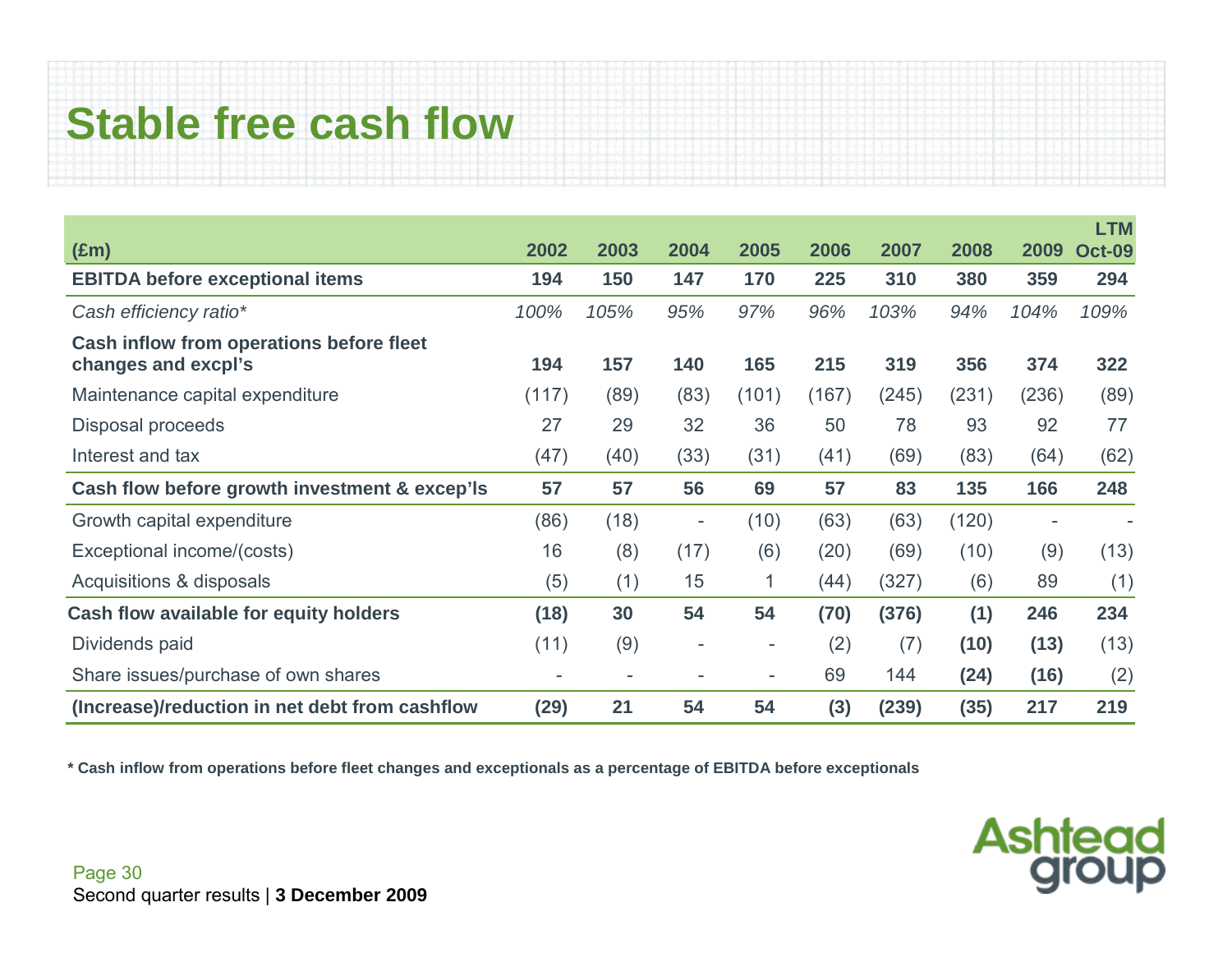## **Stable free cash flow**

|                                                |       |                          |                          |                          |       |       |       |       | <b>LTM</b>    |
|------------------------------------------------|-------|--------------------------|--------------------------|--------------------------|-------|-------|-------|-------|---------------|
| $(\text{Em})$                                  | 2002  | 2003                     | 2004                     | 2005                     | 2006  | 2007  | 2008  | 2009  | <b>Oct-09</b> |
| <b>EBITDA before exceptional items</b>         | 194   | 150                      | 147                      | 170                      | 225   | 310   | 380   | 359   | 294           |
| Cash efficiency ratio*                         | 100%  | 105%                     | 95%                      | 97%                      | 96%   | 103%  | 94%   | 104%  | 109%          |
| Cash inflow from operations before fleet       |       |                          |                          |                          |       |       |       |       |               |
| changes and excpl's                            | 194   | 157                      | 140                      | 165                      | 215   | 319   | 356   | 374   | 322           |
| Maintenance capital expenditure                | (117) | (89)                     | (83)                     | (101)                    | (167) | (245) | (231) | (236) | (89)          |
| Disposal proceeds                              | 27    | 29                       | 32                       | 36                       | 50    | 78    | 93    | 92    | 77            |
| Interest and tax                               | (47)  | (40)                     | (33)                     | (31)                     | (41)  | (69)  | (83)  | (64)  | (62)          |
| Cash flow before growth investment & excep'ls  | 57    | 57                       | 56                       | 69                       | 57    | 83    | 135   | 166   | 248           |
| Growth capital expenditure                     | (86)  | (18)                     | $\overline{\phantom{a}}$ | (10)                     | (63)  | (63)  | (120) | -     |               |
| Exceptional income/(costs)                     | 16    | (8)                      | (17)                     | (6)                      | (20)  | (69)  | (10)  | (9)   | (13)          |
| Acquisitions & disposals                       | (5)   | (1)                      | 15                       | $\mathbf{1}$             | (44)  | (327) | (6)   | 89    | (1)           |
| Cash flow available for equity holders         | (18)  | 30                       | 54                       | 54                       | (70)  | (376) | (1)   | 246   | 234           |
| Dividends paid                                 | (11)  | (9)                      | $\overline{\phantom{a}}$ | -                        | (2)   | (7)   | (10)  | (13)  | (13)          |
| Share issues/purchase of own shares            | -     | $\overline{\phantom{a}}$ |                          | $\overline{\phantom{a}}$ | 69    | 144   | (24)  | (16)  | (2)           |
| (Increase)/reduction in net debt from cashflow |       | 21                       | 54                       | 54                       | (3)   | (239) | (35)  | 217   | 219           |

**\* Cash inflow from operations before fleet changes and exceptionals as a percentage of EBITDA before exceptionals** 

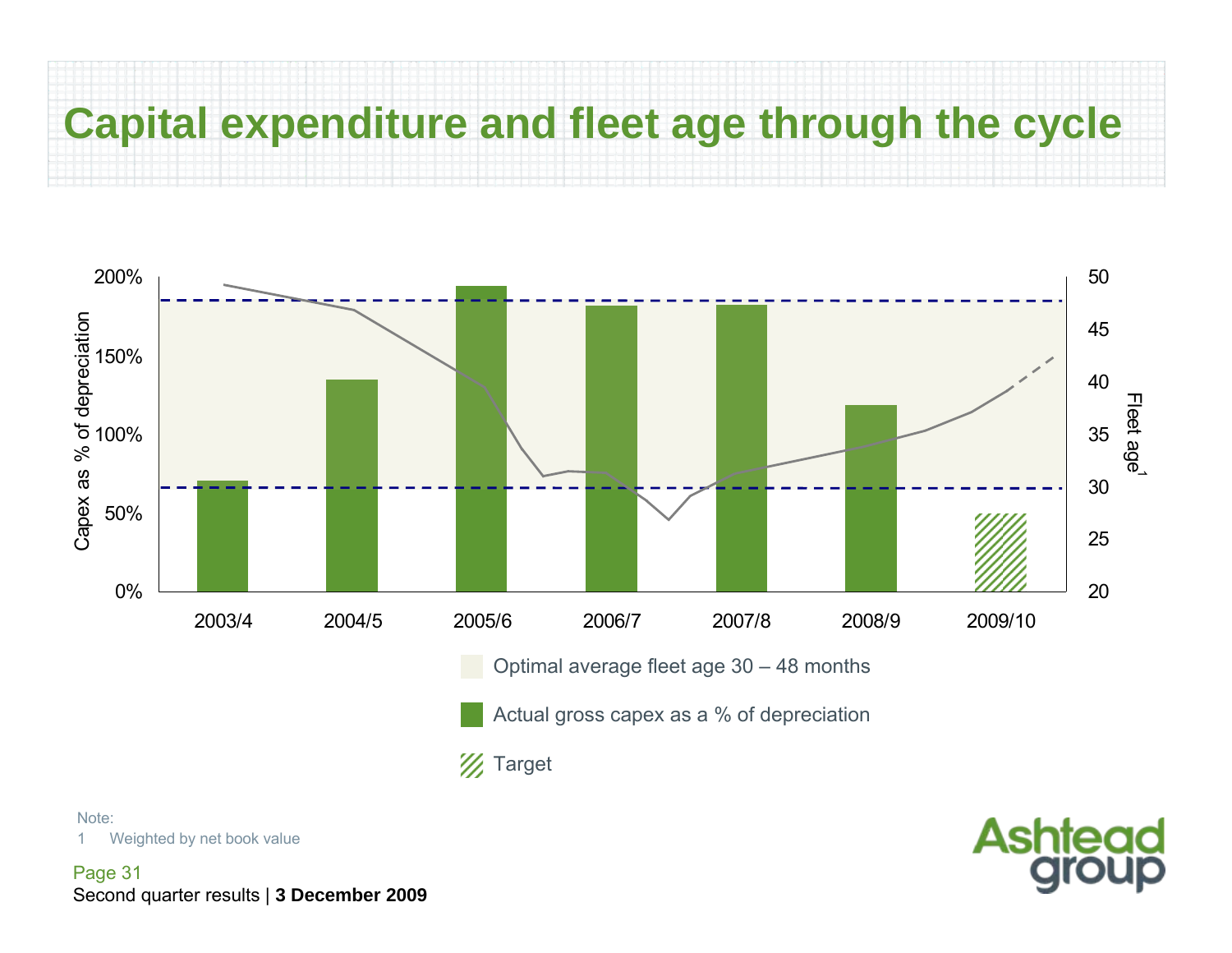## **Capital expenditure and fleet age through the cycle**



**Ashtead** 

Note:

1Weighted by net book value

Page 31 Second quarter results | **3 December 2009**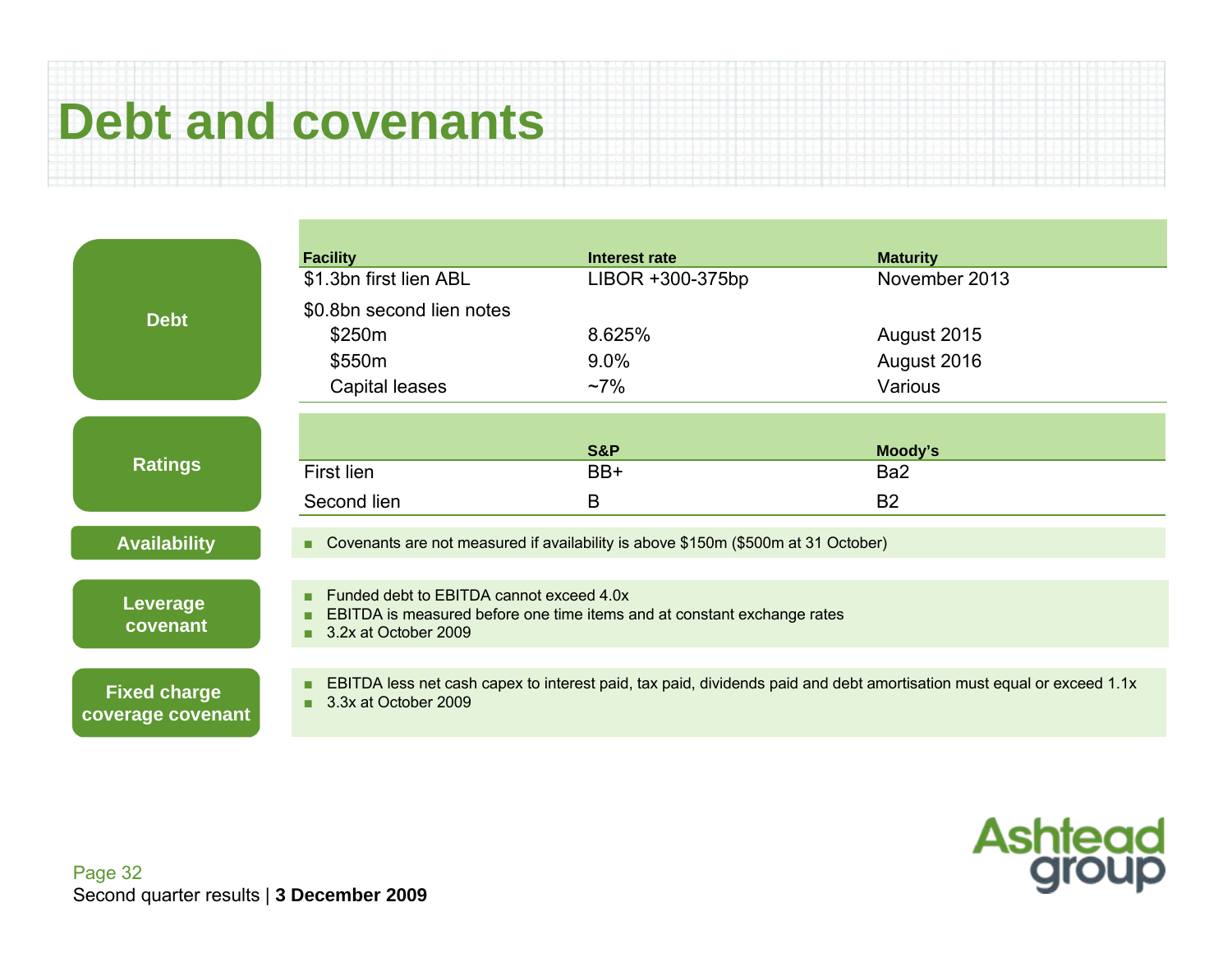## **Debt and covenants**

|                                          | <b>Facility</b>                                                                                 | Interest rate                                                                                                         | <b>Maturity</b> |  |  |  |  |
|------------------------------------------|-------------------------------------------------------------------------------------------------|-----------------------------------------------------------------------------------------------------------------------|-----------------|--|--|--|--|
| <b>Debt</b>                              | \$1.3bn first lien ABL                                                                          | LIBOR +300-375bp                                                                                                      | November 2013   |  |  |  |  |
|                                          | \$0.8bn second lien notes                                                                       |                                                                                                                       |                 |  |  |  |  |
|                                          | \$250m                                                                                          | 8.625%                                                                                                                | August 2015     |  |  |  |  |
|                                          | \$550m                                                                                          | 9.0%                                                                                                                  | August 2016     |  |  |  |  |
|                                          | Capital leases                                                                                  | $~17\%$                                                                                                               | Various         |  |  |  |  |
|                                          |                                                                                                 |                                                                                                                       |                 |  |  |  |  |
| <b>Ratings</b>                           |                                                                                                 | <b>S&amp;P</b>                                                                                                        | Moody's         |  |  |  |  |
|                                          | First lien                                                                                      | BB+                                                                                                                   | Ba <sub>2</sub> |  |  |  |  |
|                                          | Second lien                                                                                     | B                                                                                                                     | <b>B2</b>       |  |  |  |  |
| <b>Availability</b>                      | ٠                                                                                               | Covenants are not measured if availability is above \$150m (\$500m at 31 October)                                     |                 |  |  |  |  |
|                                          | Funded debt to EBITDA cannot exceed 4.0x<br>п                                                   |                                                                                                                       |                 |  |  |  |  |
| Leverage<br>covenant                     | EBITDA is measured before one time items and at constant exchange rates<br>3.2x at October 2009 |                                                                                                                       |                 |  |  |  |  |
|                                          |                                                                                                 |                                                                                                                       |                 |  |  |  |  |
| <b>Fixed charge</b><br>coverage covenant | ▪<br>3.3x at October 2009                                                                       | EBITDA less net cash capex to interest paid, tax paid, dividends paid and debt amortisation must equal or exceed 1.1x |                 |  |  |  |  |

**Ashtead**<br>group